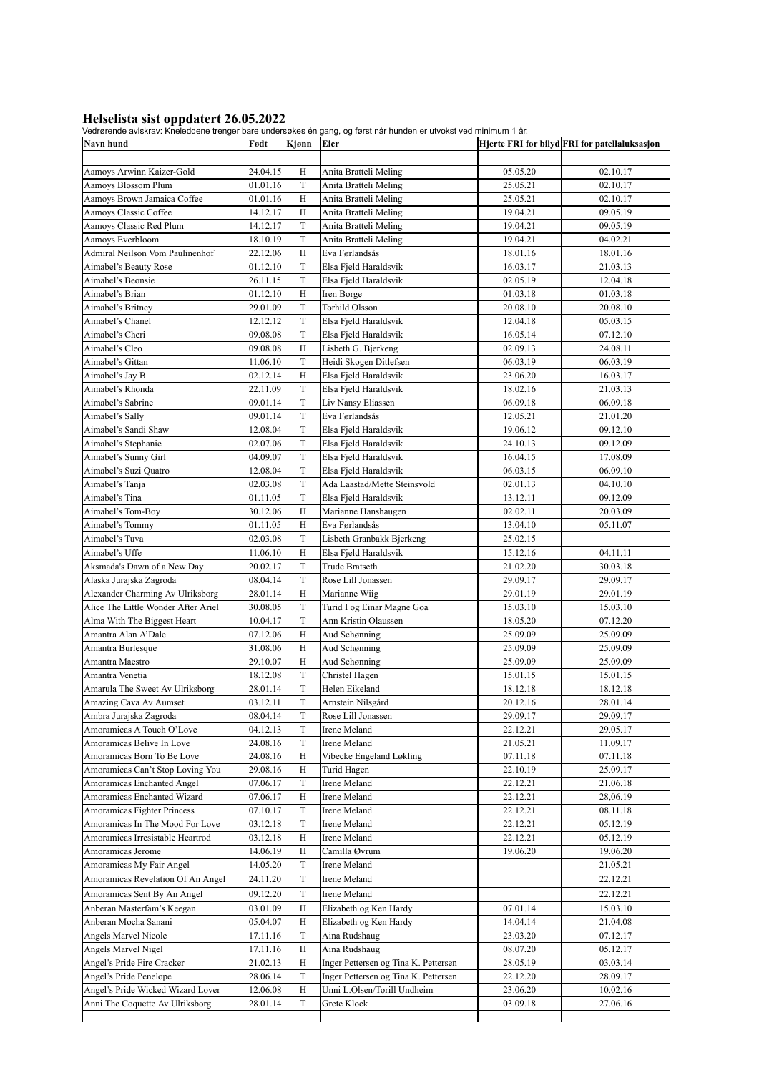**Helselista sist oppdatert 26.05.2022**<br>Vedrørende avlskrav: Kneleddene trenger bare undersøkes én gang, og først når hunden er utvokst ved minimum 1 år.

| Navn hund                                   | Født                 | Kjønn       | lac aviolitav. Nicioaacho tichgol baro anacioelico chigang, og herot nai hanach er atvoliot voa minimant i an<br>Eier |                      | Hjerte FRI for bilyd FRI for patellaluksasjon |
|---------------------------------------------|----------------------|-------------|-----------------------------------------------------------------------------------------------------------------------|----------------------|-----------------------------------------------|
|                                             |                      |             |                                                                                                                       |                      |                                               |
| Aamoys Arwinn Kaizer-Gold                   | 24.04.15             | H           | Anita Bratteli Meling                                                                                                 | 05.05.20             | 02.10.17                                      |
| Aamoys Blossom Plum                         | 01.01.16             | T           | Anita Bratteli Meling                                                                                                 | 25.05.21             | 02.10.17                                      |
| Aamoys Brown Jamaica Coffee                 | 01.01.16             | H           | Anita Bratteli Meling                                                                                                 | 25.05.21             | 02.10.17                                      |
| Aamoys Classic Coffee                       | 14.12.17             | Н           | Anita Bratteli Meling                                                                                                 | 19.04.21             | 09.05.19                                      |
| Aamoys Classic Red Plum                     | 14.12.17             | $\mathbf T$ | Anita Bratteli Meling                                                                                                 | 19.04.21             | 09.05.19                                      |
| Aamoys Everbloom                            | 18.10.19             | $\mathbf T$ | Anita Bratteli Meling                                                                                                 | 19.04.21             | 04.02.21                                      |
| Admiral Neilson Vom Paulinenhof             | 22.12.06             | H           | Eva Førlandsås                                                                                                        | 18.01.16             | 18.01.16                                      |
| Aimabel's Beauty Rose                       | 01.12.10             | T           | Elsa Fjeld Haraldsvik                                                                                                 | 16.03.17             | 21.03.13                                      |
| Aimabel's Beonsie                           | 26.11.15             | T           | Elsa Fjeld Haraldsvik                                                                                                 | 02.05.19             | 12.04.18                                      |
| Aimabel's Brian                             | 01.12.10             | H           | Iren Borge                                                                                                            | 01.03.18             | 01.03.18                                      |
| Aimabel's Britney                           | 29.01.09             | T           | <b>Torhild Olsson</b>                                                                                                 | 20.08.10             | 20.08.10                                      |
| Aimabel's Chanel                            | 12.12.12             | T           | Elsa Fjeld Haraldsvik                                                                                                 | 12.04.18             | 05.03.15                                      |
| Aimabel's Cheri                             | 09.08.08             | T           | Elsa Fjeld Haraldsvik                                                                                                 | 16.05.14             | 07.12.10                                      |
| Aimabel's Cleo                              | 09.08.08             | Н           | Lisbeth G. Bjerkeng                                                                                                   | 02.09.13             | 24.08.11                                      |
| Aimabel's Gittan                            | 11.06.10             | $\mathbf T$ | Heidi Skogen Ditlefsen                                                                                                | 06.03.19             | 06.03.19                                      |
| Aimabel's Jay B                             | 02.12.14             | H           | Elsa Fjeld Haraldsvik                                                                                                 | 23.06.20             | 16.03.17                                      |
| Aimabel's Rhonda                            | 22.11.09             | T           | Elsa Fjeld Haraldsvik                                                                                                 | 18.02.16             | 21.03.13                                      |
| Aimabel's Sabrine                           | 09.01.14             | T           | Liv Nansy Eliassen                                                                                                    | 06.09.18             | 06.09.18                                      |
| Aimabel's Sally<br>Aimabel's Sandi Shaw     | 09.01.14<br>12.08.04 | T<br>T      | Eva Førlandsås<br>Elsa Fjeld Haraldsvik                                                                               | 12.05.21<br>19.06.12 | 21.01.20<br>09.12.10                          |
|                                             |                      | $\mathbf T$ |                                                                                                                       |                      |                                               |
| Aimabel's Stephanie<br>Aimabel's Sunny Girl | 02.07.06<br>04.09.07 | T           | Elsa Fjeld Haraldsvik<br>Elsa Fjeld Haraldsvik                                                                        | 24.10.13<br>16.04.15 | 09.12.09<br>17.08.09                          |
| Aimabel's Suzi Quatro                       | 12.08.04             | T           | Elsa Fjeld Haraldsvik                                                                                                 | 06.03.15             | 06.09.10                                      |
| Aimabel's Tanja                             | 02.03.08             | $\mathbf T$ | Ada Laastad/Mette Steinsvold                                                                                          | 02.01.13             | 04.10.10                                      |
| Aimabel's Tina                              | 01.11.05             | T           | Elsa Fjeld Haraldsvik                                                                                                 | 13.12.11             | 09.12.09                                      |
| Aimabel's Tom-Boy                           | 30.12.06             | H           | Marianne Hanshaugen                                                                                                   | 02.02.11             | 20.03.09                                      |
| Aimabel's Tommy                             | 01.11.05             | Η           | Eva Førlandsås                                                                                                        | 13.04.10             | 05.11.07                                      |
| Aimabel's Tuva                              | 02.03.08             | T           | Lisbeth Granbakk Bjerkeng                                                                                             | 25.02.15             |                                               |
| Aimabel's Uffe                              | 11.06.10             | H           | Elsa Fjeld Haraldsvik                                                                                                 | 15.12.16             | 04.11.11                                      |
| Aksmada's Dawn of a New Day                 | 20.02.17             | T           | <b>Trude Bratseth</b>                                                                                                 | 21.02.20             | 30.03.18                                      |
| Alaska Jurajska Zagroda                     | 08.04.14             | T           | Rose Lill Jonassen                                                                                                    | 29.09.17             | 29.09.17                                      |
| Alexander Charming Av Ulriksborg            | 28.01.14             | Н           | Marianne Wiig                                                                                                         | 29.01.19             | 29.01.19                                      |
| Alice The Little Wonder After Ariel         | 30.08.05             | T           | Turid I og Einar Magne Goa                                                                                            | 15.03.10             | 15.03.10                                      |
| Alma With The Biggest Heart                 | 10.04.17             | T           | Ann Kristin Olaussen                                                                                                  | 18.05.20             | 07.12.20                                      |
| Amantra Alan A'Dale                         | 07.12.06             | H           | Aud Schønning                                                                                                         | 25.09.09             | 25.09.09                                      |
| Amantra Burlesque                           | 31.08.06             | H           | Aud Schønning                                                                                                         | 25.09.09             | 25.09.09                                      |
| Amantra Maestro                             | 29.10.07             | H           | Aud Schønning                                                                                                         | 25.09.09             | 25.09.09                                      |
| Amantra Venetia                             | 18.12.08             | $\mathbf T$ | Christel Hagen                                                                                                        | 15.01.15             | 15.01.15                                      |
| Amarula The Sweet Av Ulriksborg             | 28.01.14             | $\mathbf T$ | Helen Eikeland                                                                                                        | 18.12.18             | 18.12.18                                      |
| Amazing Cava Av Aumset                      | 03.12.11             | $\mathbf T$ | Arnstein Nilsgård                                                                                                     | 20.12.16             | 28.01.14                                      |
| Ambra Jurajska Zagroda                      | 08.04.14             | T           | Rose Lill Jonassen                                                                                                    | 29.09.17             | 29.09.17                                      |
| Amoramicas A Touch O'Love                   | 04.12.13             | T           | Irene Meland                                                                                                          | 22.12.21             | 29.05.17                                      |
| Amoramicas Belive In Love                   | 24.08.16             | T           | Irene Meland                                                                                                          | 21.05.21             | 11.09.17                                      |
| Amoramicas Born To Be Love                  | 24.08.16             | Η           | Vibecke Engeland Løkling                                                                                              | 07.11.18             | 07.11.18                                      |
| Amoramicas Can't Stop Loving You            | 29.08.16             | Н           | Turid Hagen                                                                                                           | 22.10.19             | 25.09.17                                      |
| Amoramicas Enchanted Angel                  | 07.06.17             | T           | Irene Meland                                                                                                          | 22.12.21             | 21.06.18                                      |
| Amoramicas Enchanted Wizard                 | 07.06.17             | Н           | Irene Meland                                                                                                          | 22.12.21             | 28,06.19                                      |
| Amoramicas Fighter Princess                 | 07.10.17             | T           | Irene Meland                                                                                                          | 22.12.21             | 08.11.18                                      |
| Amoramicas In The Mood For Love             | 03.12.18             | T           | Irene Meland                                                                                                          | 22.12.21             | 05.12.19                                      |
| Amoramicas Irresistable Heartrod            | 03.12.18             | Η           | Irene Meland                                                                                                          | 22.12.21             | 05.12.19                                      |
| Amoramicas Jerome                           | 14.06.19             | Н           | Camilla Øvrum                                                                                                         | 19.06.20             | 19.06.20                                      |
| Amoramicas My Fair Angel                    | 14.05.20             | T           | Irene Meland                                                                                                          |                      | 21.05.21                                      |
| Amoramicas Revelation Of An Angel           | 24.11.20             | T           | Irene Meland                                                                                                          |                      | 22.12.21                                      |
| Amoramicas Sent By An Angel                 | 09.12.20             | T           | Irene Meland                                                                                                          |                      | 22.12.21                                      |
| Anberan Masterfam's Keegan                  | 03.01.09             | Η           | Elizabeth og Ken Hardy                                                                                                | 07.01.14             | 15.03.10                                      |
| Anberan Mocha Sanani                        | 05.04.07             | Н           | Elizabeth og Ken Hardy                                                                                                | 14.04.14             | 21.04.08                                      |
| Angels Marvel Nicole                        | 17.11.16             | T           | Aina Rudshaug                                                                                                         | 23.03.20             | 07.12.17                                      |
| Angels Marvel Nigel                         | 17.11.16             | Η           | Aina Rudshaug                                                                                                         | 08.07.20             | 05.12.17                                      |
| Angel's Pride Fire Cracker                  | 21.02.13             | Η           | Inger Pettersen og Tina K. Pettersen                                                                                  | 28.05.19             | 03.03.14                                      |
| Angel's Pride Penelope                      | 28.06.14             | T           | Inger Pettersen og Tina K. Pettersen                                                                                  | 22.12.20             | 28.09.17                                      |
| Angel's Pride Wicked Wizard Lover           | 12.06.08             | Η           | Unni L.Olsen/Torill Undheim                                                                                           | 23.06.20             | 10.02.16                                      |
| Anni The Coquette Av Ulriksborg             | 28.01.14             | T           | Grete Klock                                                                                                           | 03.09.18             | 27.06.16                                      |
|                                             |                      |             |                                                                                                                       |                      |                                               |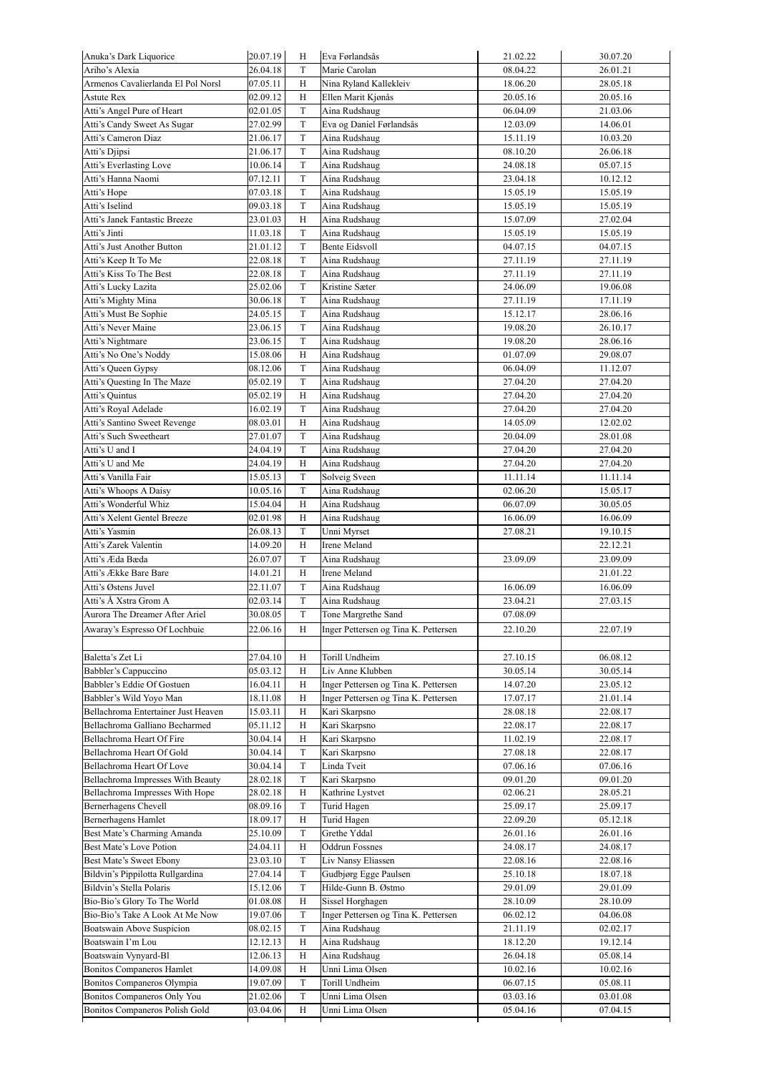| Anuka's Dark Liquorice                                        | 20.07.19             | H           | Eva Førlandsås                       | 21.02.22 | 30.07.20 |
|---------------------------------------------------------------|----------------------|-------------|--------------------------------------|----------|----------|
| Ariho's Alexia                                                | 26.04.18             | T           | Marie Carolan                        | 08.04.22 | 26.01.21 |
| Armenos Cavalierlanda El Pol Norsl                            | 07.05.11             | H           | Nina Ryland Kallekleiv               | 18.06.20 | 28.05.18 |
| Astute Rex                                                    | 02.09.12             | H           | Ellen Marit Kjønås                   | 20.05.16 | 20.05.16 |
| Atti's Angel Pure of Heart                                    | 02.01.05             | T           | Aina Rudshaug                        | 06.04.09 | 21.03.06 |
| Atti's Candy Sweet As Sugar                                   | 27.02.99             | T           | Eva og Daniel Førlandsås             | 12.03.09 | 14.06.01 |
| Atti's Cameron Diaz                                           | 21.06.17             | T           | Aina Rudshaug                        | 15.11.19 | 10.03.20 |
| Atti's Djipsi                                                 | 21.06.17             | T           | Aina Rudshaug                        | 08.10.20 | 26.06.18 |
| Atti's Everlasting Love                                       | 10.06.14             | T           | Aina Rudshaug                        | 24.08.18 | 05.07.15 |
| Atti's Hanna Naomi                                            | 07.12.11             | T           | Aina Rudshaug                        | 23.04.18 | 10.12.12 |
| Atti's Hope                                                   | 07.03.18             | T           | Aina Rudshaug                        | 15.05.19 | 15.05.19 |
| Atti's Iselind                                                | 09.03.18             | T           | Aina Rudshaug                        | 15.05.19 | 15.05.19 |
| Atti's Janek Fantastic Breeze                                 | 23.01.03             | Н           | Aina Rudshaug                        | 15.07.09 | 27.02.04 |
| Atti's Jinti                                                  | 11.03.18             | T           | Aina Rudshaug                        | 15.05.19 | 15.05.19 |
| Atti's Just Another Button                                    | 21.01.12             | T           | Bente Eidsvoll                       | 04.07.15 | 04.07.15 |
| Atti's Keep It To Me                                          | 22.08.18             | T           | Aina Rudshaug                        | 27.11.19 | 27.11.19 |
| Atti's Kiss To The Best                                       | 22.08.18             | T           | Aina Rudshaug                        | 27.11.19 | 27.11.19 |
| Atti's Lucky Lazita                                           | 25.02.06             | T           | Kristine Sæter                       | 24.06.09 | 19.06.08 |
| Atti's Mighty Mina                                            | 30.06.18             | T           | Aina Rudshaug                        | 27.11.19 | 17.11.19 |
| Atti's Must Be Sophie                                         | 24.05.15             | T           | Aina Rudshaug                        | 15.12.17 | 28.06.16 |
| Atti's Never Maine                                            | 23.06.15             | T           | Aina Rudshaug                        | 19.08.20 | 26.10.17 |
| Atti's Nightmare                                              | 23.06.15             | T           | Aina Rudshaug                        | 19.08.20 | 28.06.16 |
| Atti's No One's Noddy                                         | 15.08.06             | H           | Aina Rudshaug                        | 01.07.09 | 29.08.07 |
| Atti's Queen Gypsy                                            | 08.12.06             | T           | Aina Rudshaug                        | 06.04.09 | 11.12.07 |
| Atti's Questing In The Maze                                   | 05.02.19             | T           | Aina Rudshaug                        | 27.04.20 | 27.04.20 |
| Atti's Quintus                                                | 05.02.19             | Н           | Aina Rudshaug                        | 27.04.20 | 27.04.20 |
| Atti's Royal Adelade                                          | 16.02.19             | T           | Aina Rudshaug                        | 27.04.20 | 27.04.20 |
| Atti's Santino Sweet Revenge                                  | 08.03.01             | Н           | Aina Rudshaug                        | 14.05.09 | 12.02.02 |
| Atti's Such Sweetheart                                        | 27.01.07             | T           | Aina Rudshaug                        | 20.04.09 | 28.01.08 |
| Atti's U and I                                                | 24.04.19             | T           | Aina Rudshaug                        | 27.04.20 | 27.04.20 |
| Atti's U and Me                                               | 24.04.19             | Н           | Aina Rudshaug                        | 27.04.20 | 27.04.20 |
| Atti's Vanilla Fair                                           | 15.05.13             | T           | Solveig Sveen                        | 11.11.14 | 11.11.14 |
| Atti's Whoops A Daisy                                         | 10.05.16             | T           | Aina Rudshaug                        | 02.06.20 | 15.05.17 |
| Atti's Wonderful Whiz                                         | 15.04.04             | Н           | Aina Rudshaug                        | 06.07.09 | 30.05.05 |
| Atti's Xelent Gentel Breeze                                   | 02.01.98             | Н           | Aina Rudshaug                        | 16.06.09 | 16.06.09 |
| Atti's Yasmin                                                 | 26.08.13             | T           | Unni Myrset                          | 27.08.21 | 19.10.15 |
| Atti's Zarek Valentin                                         | 14.09.20             | Н           | Irene Meland                         |          | 22.12.21 |
| Atti's Æda Bæda                                               | 26.07.07             | T           | Aina Rudshaug                        | 23.09.09 | 23.09.09 |
| Atti's Ække Bare Bare                                         | 14.01.21             | Н           | Irene Meland                         |          | 21.01.22 |
| Atti's Østens Juvel                                           | 22.11.07             | T           | Aina Rudshaug                        | 16.06.09 | 16.06.09 |
| Atti's Å Xstra Grom A                                         | 02.03.14             | T           | Aina Rudshaug                        | 23.04.21 | 27.03.15 |
| Aurora The Dreamer After Ariel                                | 30.08.05             | T           | Tone Margrethe Sand                  | 07.08.09 |          |
| Awaray's Espresso Of Lochbuie                                 | 22.06.16             |             | Inger Pettersen og Tina K. Pettersen | 22.10.20 |          |
|                                                               |                      | Н           |                                      |          | 22.07.19 |
|                                                               |                      |             |                                      |          |          |
| Baletta's Zet Li                                              | 27.04.10             | Н           | Torill Undheim                       | 27.10.15 | 06.08.12 |
| Babbler's Cappuccino                                          | 05.03.12             | Н           | Liv Anne Klubben                     | 30.05.14 | 30.05.14 |
| Babbler's Eddie Of Gostuen                                    | 16.04.11             | Н           | Inger Pettersen og Tina K. Pettersen | 14.07.20 | 23.05.12 |
| Babbler's Wild Yoyo Man                                       | 18.11.08             | Н           | Inger Pettersen og Tina K. Pettersen | 17.07.17 | 21.01.14 |
| Bellachroma Entertainer Just Heaven                           | 15.03.11             | Н           | Kari Skarpsno                        | 28.08.18 | 22.08.17 |
| Bellachroma Galliano Becharmed                                | 05.11.12             | Н           | Kari Skarpsno                        | 22.08.17 | 22.08.17 |
| Bellachroma Heart Of Fire                                     | 30.04.14             | Н           | Kari Skarpsno                        | 11.02.19 | 22.08.17 |
| Bellachroma Heart Of Gold                                     | 30.04.14             | T           | Kari Skarpsno                        | 27.08.18 | 22.08.17 |
| Bellachroma Heart Of Love                                     | 30.04.14             | T           | Linda Tveit                          | 07.06.16 | 07.06.16 |
| Bellachroma Impresses With Beauty                             | 28.02.18             | T           | Kari Skarpsno                        | 09.01.20 | 09.01.20 |
| Bellachroma Impresses With Hope                               | 28.02.18             | Н           | Kathrine Lystvet                     | 02.06.21 | 28.05.21 |
| Bernerhagens Chevell                                          | 08.09.16             | T           | Turid Hagen                          | 25.09.17 | 25.09.17 |
| Bernerhagens Hamlet                                           | 18.09.17             | Н           | Turid Hagen                          | 22.09.20 | 05.12.18 |
| Best Mate's Charming Amanda                                   | 25.10.09             | T           | Grethe Yddal                         | 26.01.16 | 26.01.16 |
| Best Mate's Love Potion                                       | 24.04.11             | Н           | <b>Oddrun Fossnes</b>                | 24.08.17 | 24.08.17 |
| Best Mate's Sweet Ebony                                       | 23.03.10             | T           | Liv Nansy Eliassen                   | 22.08.16 | 22.08.16 |
| Bildvin's Pippilotta Rullgardina                              | 27.04.14             | T           | Gudbjørg Egge Paulsen                | 25.10.18 | 18.07.18 |
| Bildvin's Stella Polaris                                      | 15.12.06             | T           | Hilde-Gunn B. Østmo                  | 29.01.09 | 29.01.09 |
| Bio-Bio's Glory To The World                                  | 01.08.08             | Н           | Sissel Horghagen                     | 28.10.09 | 28.10.09 |
| Bio-Bio's Take A Look At Me Now                               | 19.07.06             | T           | Inger Pettersen og Tina K. Pettersen | 06.02.12 | 04.06.08 |
| Boatswain Above Suspicion                                     | 08.02.15             | $\mathbf T$ | Aina Rudshaug                        | 21.11.19 | 02.02.17 |
| Boatswain I'm Lou                                             | 12.12.13             | Н           | Aina Rudshaug                        | 18.12.20 | 19.12.14 |
| Boatswain Vynyard-Bl                                          | 12.06.13             | Н           | Aina Rudshaug                        | 26.04.18 | 05.08.14 |
| <b>Bonitos Companeros Hamlet</b>                              | 14.09.08             | Н           | Unni Lima Olsen                      | 10.02.16 | 10.02.16 |
| Bonitos Companeros Olympia                                    | 19.07.09             | T           | Torill Undheim                       | 06.07.15 | 05.08.11 |
|                                                               |                      |             |                                      | 03.03.16 | 03.01.08 |
| Bonitos Companeros Only You<br>Bonitos Companeros Polish Gold | 21.02.06<br>03.04.06 | T<br>H      | Unni Lima Olsen<br>Unni Lima Olsen   | 05.04.16 | 07.04.15 |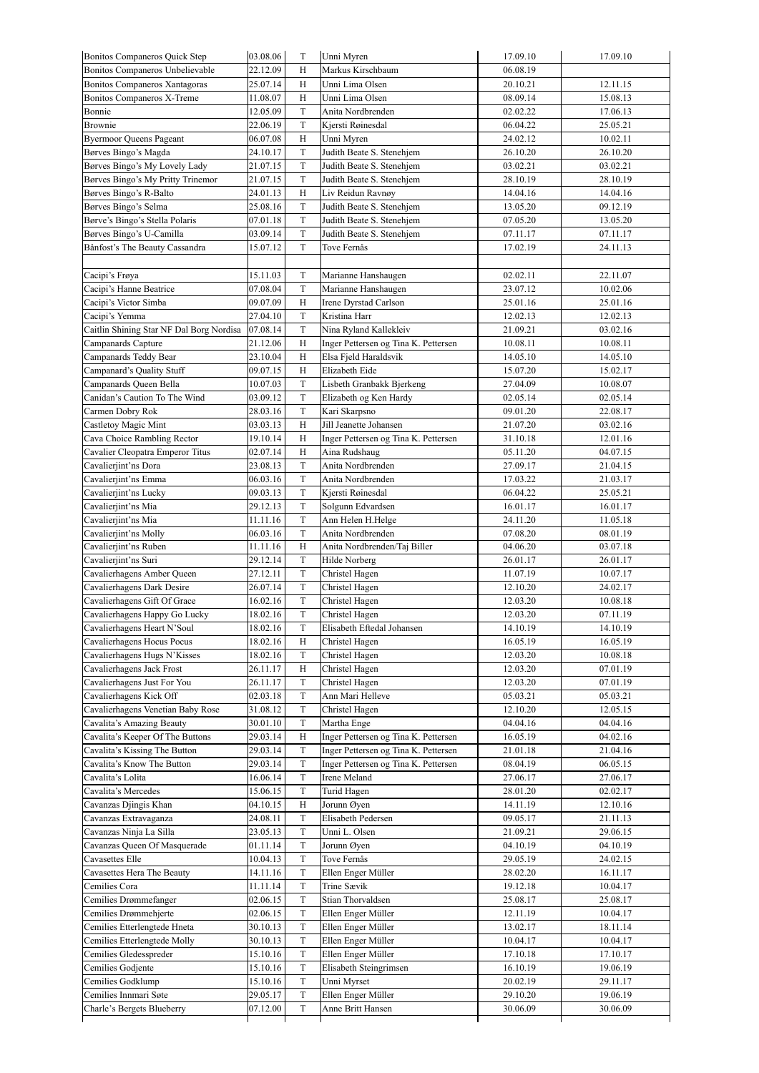| Bonitos Companeros Quick Step            | 03.08.06 | T           | Unni Myren                           | 17.09.10 | 17.09.10 |
|------------------------------------------|----------|-------------|--------------------------------------|----------|----------|
| Bonitos Companeros Unbelievable          | 22.12.09 | H           | Markus Kirschbaum                    | 06.08.19 |          |
| Bonitos Companeros Xantagoras            | 25.07.14 | Н           | Unni Lima Olsen                      | 20.10.21 | 12.11.15 |
| Bonitos Companeros X-Treme               | 11.08.07 | Н           | Unni Lima Olsen                      | 08.09.14 | 15.08.13 |
| Bonnie                                   | 12.05.09 | T           | Anita Nordbrenden                    | 02.02.22 | 17.06.13 |
| Brownie                                  | 22.06.19 | T           | Kjersti Røinesdal                    | 06.04.22 | 25.05.21 |
| <b>Byermoor Queens Pageant</b>           | 06.07.08 | H           | Unni Myren                           | 24.02.12 | 10.02.11 |
| Børves Bingo's Magda                     | 24.10.17 | T           | Judith Beate S. Stenehjem            | 26.10.20 | 26.10.20 |
| Børves Bingo's My Lovely Lady            | 21.07.15 | T           | Judith Beate S. Stenehjem            | 03.02.21 | 03.02.21 |
| Børves Bingo's My Pritty Trinemor        | 21.07.15 | $\mathbf T$ | Judith Beate S. Stenehjem            | 28.10.19 | 28.10.19 |
| Børves Bingo's R-Balto                   | 24.01.13 | Н           | Liv Reidun Ravnøy                    | 14.04.16 | 14.04.16 |
| Børves Bingo's Selma                     | 25.08.16 | T           | Judith Beate S. Stenehjem            | 13.05.20 | 09.12.19 |
| Børve's Bingo's Stella Polaris           | 07.01.18 | T           | Judith Beate S. Stenehjem            | 07.05.20 | 13.05.20 |
| Børves Bingo's U-Camilla                 | 03.09.14 | T           | Judith Beate S. Stenehjem            | 07.11.17 | 07.11.17 |
| Bånfost's The Beauty Cassandra           | 15.07.12 | T           | Tove Fernås                          | 17.02.19 | 24.11.13 |
|                                          |          |             |                                      |          |          |
| Cacipi's Frøya                           | 15.11.03 | T           | Marianne Hanshaugen                  | 02.02.11 | 22.11.07 |
| Cacipi's Hanne Beatrice                  | 07.08.04 | T           | Marianne Hanshaugen                  | 23.07.12 | 10.02.06 |
| Cacipi's Victor Simba                    | 09.07.09 | Н           | Irene Dyrstad Carlson                | 25.01.16 | 25.01.16 |
| Cacipi's Yemma                           | 27.04.10 | T           | Kristina Harr                        | 12.02.13 | 12.02.13 |
| Caitlin Shining Star NF Dal Borg Nordisa | 07.08.14 | T           | Nina Ryland Kallekleiv               | 21.09.21 | 03.02.16 |
| Campanards Capture                       | 21.12.06 | Н           | Inger Pettersen og Tina K. Pettersen | 10.08.11 | 10.08.11 |
| Campanards Teddy Bear                    | 23.10.04 | Н           | Elsa Fjeld Haraldsvik                | 14.05.10 | 14.05.10 |
| Campanard's Quality Stuff                | 09.07.15 | H           | Elizabeth Eide                       | 15.07.20 | 15.02.17 |
| Campanards Queen Bella                   | 10.07.03 | $\mathbf T$ | Lisbeth Granbakk Bjerkeng            | 27.04.09 | 10.08.07 |
| Canidan's Caution To The Wind            | 03.09.12 | T           | Elizabeth og Ken Hardy               | 02.05.14 | 02.05.14 |
| Carmen Dobry Rok                         | 28.03.16 | T           | Kari Skarpsno                        | 09.01.20 | 22.08.17 |
| Castletoy Magic Mint                     | 03.03.13 | Н           | Jill Jeanette Johansen               | 21.07.20 | 03.02.16 |
| Cava Choice Rambling Rector              | 19.10.14 | Н           | Inger Pettersen og Tina K. Pettersen | 31.10.18 | 12.01.16 |
| Cavalier Cleopatra Emperor Titus         | 02.07.14 | Н           | Aina Rudshaug                        | 05.11.20 | 04.07.15 |
| Cavalierjint'ns Dora                     | 23.08.13 | T           | Anita Nordbrenden                    | 27.09.17 | 21.04.15 |
| Cavalierjint'ns Emma                     | 06.03.16 | T           | Anita Nordbrenden                    | 17.03.22 | 21.03.17 |
| Cavalierjint'ns Lucky                    | 09.03.13 | T           | Kjersti Røinesdal                    | 06.04.22 | 25.05.21 |
| Cavalierjint'ns Mia                      | 29.12.13 | $\mathbf T$ | Solgunn Edvardsen                    | 16.01.17 | 16.01.17 |
| Cavalierjint'ns Mia                      | 11.11.16 | T           | Ann Helen H.Helge                    | 24.11.20 | 11.05.18 |
| Cavalierjint'ns Molly                    | 06.03.16 | T           | Anita Nordbrenden                    | 07.08.20 | 08.01.19 |
| Cavalierjint'ns Ruben                    | 11.11.16 | Н           | Anita Nordbrenden/Taj Biller         | 04.06.20 | 03.07.18 |
| Cavalierjint'ns Suri                     | 29.12.14 | T           | Hilde Norberg                        | 26.01.17 | 26.01.17 |
| Cavalierhagens Amber Queen               | 27.12.11 | T           | Christel Hagen                       | 11.07.19 | 10.07.17 |
| Cavalierhagens Dark Desire               | 26.07.14 | T           | Christel Hagen                       | 12.10.20 | 24.02.17 |
| Cavalierhagens Gift Of Grace             | 16.02.16 | T           | Christel Hagen                       | 12.03.20 | 10.08.18 |
| Cavalierhagens Happy Go Lucky            | 18.02.16 | $\mathbf T$ | Christel Hagen                       | 12.03.20 | 07.11.19 |
| Cavalierhagens Heart N'Soul              | 18.02.16 | T           | Elisabeth Eftedal Johansen           | 14.10.19 | 14.10.19 |
| Cavalierhagens Hocus Pocus               | 18.02.16 | Н           | Christel Hagen                       | 16.05.19 | 16.05.19 |
| Cavalierhagens Hugs N'Kisses             | 18.02.16 | T           | Christel Hagen                       | 12.03.20 | 10.08.18 |
| Cavalierhagens Jack Frost                | 26.11.17 | Н           | Christel Hagen                       | 12.03.20 | 07.01.19 |
| Cavalierhagens Just For You              | 26.11.17 | T           | Christel Hagen                       | 12.03.20 | 07.01.19 |
| Cavalierhagens Kick Off                  | 02.03.18 | T           | Ann Mari Helleve                     | 05.03.21 | 05.03.21 |
| Cavalierhagens Venetian Baby Rose        | 31.08.12 | T           | Christel Hagen                       | 12.10.20 | 12.05.15 |
| Cavalita's Amazing Beauty                | 30.01.10 | $\mathbf T$ | Martha Enge                          | 04.04.16 | 04.04.16 |
| Cavalita's Keeper Of The Buttons         | 29.03.14 | H           | Inger Pettersen og Tina K. Pettersen | 16.05.19 | 04.02.16 |
| Cavalita's Kissing The Button            | 29.03.14 | T           | Inger Pettersen og Tina K. Pettersen | 21.01.18 | 21.04.16 |
| Cavalita's Know The Button               | 29.03.14 | T           | Inger Pettersen og Tina K. Pettersen | 08.04.19 | 06.05.15 |
| Cavalita's Lolita                        | 16.06.14 | T           | Irene Meland                         | 27.06.17 | 27.06.17 |
| Cavalita's Mercedes                      | 15.06.15 | T           | Turid Hagen                          | 28.01.20 | 02.02.17 |
| Cavanzas Djingis Khan                    | 04.10.15 | Н           | Jorunn Øyen                          | 14.11.19 | 12.10.16 |
| Cavanzas Extravaganza                    | 24.08.11 | T           | Elisabeth Pedersen                   | 09.05.17 | 21.11.13 |
| Cavanzas Ninja La Silla                  | 23.05.13 | T           | Unni L. Olsen                        | 21.09.21 | 29.06.15 |
| Cavanzas Queen Of Masquerade             | 01.11.14 | T           | Jorunn Øyen                          | 04.10.19 | 04.10.19 |
| Cavasettes Elle                          | 10.04.13 | T           | Tove Fernås                          | 29.05.19 | 24.02.15 |
| Cavasettes Hera The Beauty               | 14.11.16 | T           | Ellen Enger Müller                   | 28.02.20 | 16.11.17 |
| Cemilies Cora                            | 11.11.14 | T           | Trine Sævik                          | 19.12.18 | 10.04.17 |
| Cemilies Drømmefanger                    | 02.06.15 | T           | Stian Thorvaldsen                    | 25.08.17 | 25.08.17 |
| Cemilies Drømmehjerte                    | 02.06.15 | T           | Ellen Enger Müller                   | 12.11.19 | 10.04.17 |
| Cemilies Etterlengtede Hneta             | 30.10.13 | T           | Ellen Enger Müller                   | 13.02.17 | 18.11.14 |
| Cemilies Etterlengtede Molly             |          |             | Ellen Enger Müller                   |          |          |
|                                          | 30.10.13 | T           |                                      | 10.04.17 | 10.04.17 |
| Cemilies Gledesspreder                   | 15.10.16 | T           | Ellen Enger Müller                   | 17.10.18 | 17.10.17 |
| Cemilies Godjente                        | 15.10.16 | T           | Elisabeth Steingrimsen               | 16.10.19 | 19.06.19 |
| Cemilies Godklump                        | 15.10.16 | T           | Unni Myrset                          | 20.02.19 | 29.11.17 |
| Cemilies Innmari Søte                    | 29.05.17 | T           | Ellen Enger Müller                   | 29.10.20 | 19.06.19 |
| Charle's Bergets Blueberry               | 07.12.00 | T           | Anne Britt Hansen                    | 30.06.09 | 30.06.09 |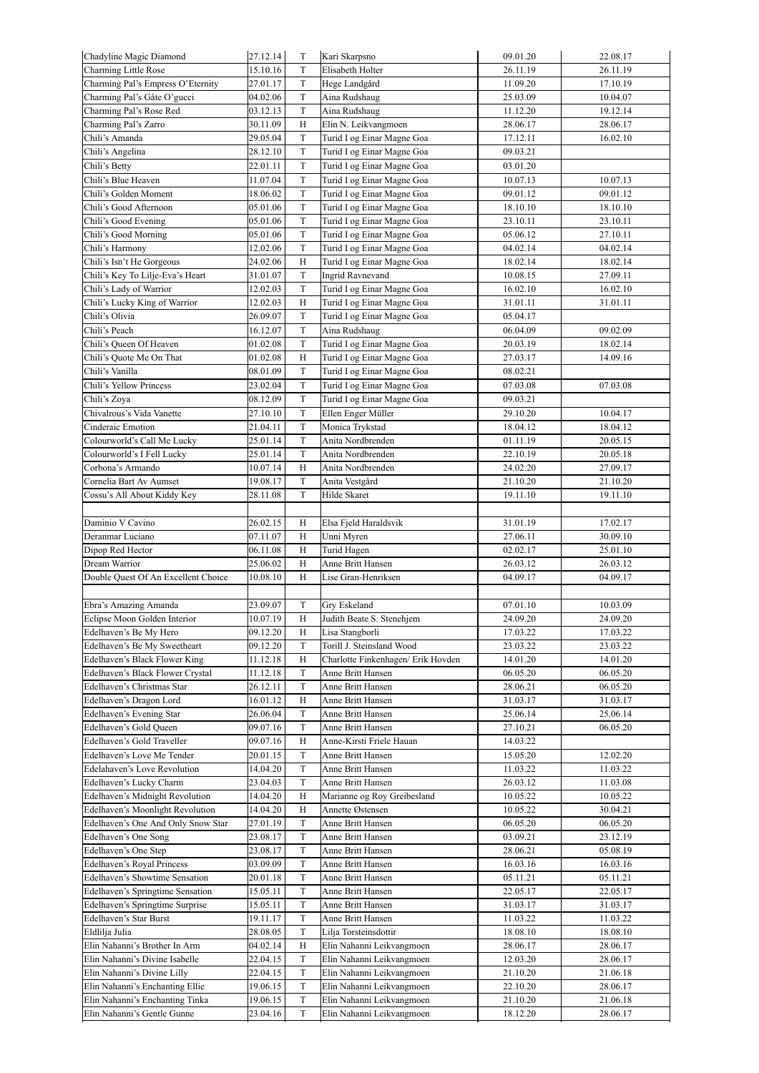| Chadyline Magic Diamond             | 27.12.14             | $\mathbf T$  | Kari Skarpsno                      | 09.01.20 | 22.08.17 |
|-------------------------------------|----------------------|--------------|------------------------------------|----------|----------|
| Charming Little Rose                | 15.10.16             | T            | Elisabeth Holter                   | 26.11.19 | 26.11.19 |
| Charming Pal's Empress O'Eternity   | 27.01.17             | T            | Hege Landgård                      | 11.09.20 | 17.10.19 |
| Charming Pal's Gåte O'gucci         | 04.02.06             | T            | Aina Rudshaug                      | 25.03.09 | 10.04.07 |
| Charming Pal's Rose Red             | 03.12.13             | $\mathbf T$  | Aina Rudshaug                      | 11.12.20 | 19.12.14 |
| Charming Pal's Zarro                | 30.11.09             | $_{\rm H}$   | Elin N. Leikvangmoen               | 28.06.17 | 28.06.17 |
| Chili's Amanda                      | 29.05.04             | $\mathcal T$ | Turid I og Einar Magne Goa         | 17.12.11 | 16.02.10 |
| Chili's Angelina                    | 28.12.10             | $\mathbf T$  | Turid I og Einar Magne Goa         | 09.03.21 |          |
| Chili's Betty                       | 22.01.11             | T            | Turid I og Einar Magne Goa         | 03.01.20 |          |
| Chili's Blue Heaven                 | 11.07.04             | $\mathbf T$  | Turid I og Einar Magne Goa         | 10.07.13 | 10.07.13 |
| Chili's Golden Moment               | 18.06.02             | $\rm T$      | Turid I og Einar Magne Goa         | 09.01.12 | 09.01.12 |
| Chili's Good Afternoon              | 05.01.06             | $\mathbf T$  | Turid I og Einar Magne Goa         | 18.10.10 | 18.10.10 |
|                                     | 05.01.06             | T            |                                    |          |          |
| Chili's Good Evening                |                      |              | Turid I og Einar Magne Goa         | 23.10.11 | 23.10.11 |
| Chili's Good Morning                | 05.01.06             | T            | Turid I og Einar Magne Goa         | 05.06.12 | 27.10.11 |
| Chili's Harmony                     | 12.02.06             | $\mathcal T$ | Turid I og Einar Magne Goa         | 04.02.14 | 04.02.14 |
| Chili's Isn't He Gorgeous           | 24.02.06             | H            | Turid I og Einar Magne Goa         | 18.02.14 | 18.02.14 |
| Chili's Key To Lilje-Eva's Heart    | 31.01.07             | $\mathcal T$ | <b>Ingrid Ravnevand</b>            | 10.08.15 | 27.09.11 |
| Chili's Lady of Warrior             | 12.02.03             | $\mathbf T$  | Turid I og Einar Magne Goa         | 16.02.10 | 16.02.10 |
| Chili's Lucky King of Warrior       | 12.02.03             | H            | Turid I og Einar Magne Goa         | 31.01.11 | 31.01.11 |
| Chili's Olivia                      | 26.09.07             | $\mathbf T$  | Turid I og Einar Magne Goa         | 05.04.17 |          |
| Chili's Peach                       | 16.12.07             | $\mathbf T$  | Aina Rudshaug                      | 06.04.09 | 09.02.09 |
| Chili's Queen Of Heaven             | 01.02.08             | $\mathbf T$  | Turid I og Einar Magne Goa         | 20.03.19 | 18.02.14 |
| Chili's Quote Me On That            | 01.02.08             | H            | Turid I og Einar Magne Goa         | 27.03.17 | 14.09.16 |
| Chili's Vanilla                     | 08.01.09             | T            | Turid I og Einar Magne Goa         | 08.02.21 |          |
| Chili's Yellow Princess             | 23.02.04             | $\mathcal T$ | Turid I og Einar Magne Goa         | 07.03.08 | 07.03.08 |
| Chili's Zoya                        | 08.12.09             | $\mathcal T$ | Turid I og Einar Magne Goa         | 09.03.21 |          |
| Chivalrous's Vida Vanette           | 27.10.10             | $\mathbf T$  | Ellen Enger Müller                 | 29.10.20 | 10.04.17 |
| Cinderaic Emotion                   | 21.04.11             | T            | Monica Trykstad                    | 18.04.12 | 18.04.12 |
| Colourworld's Call Me Lucky         | 25.01.14             | T            | Anita Nordbrenden                  | 01.11.19 | 20.05.15 |
| Colourworld's I Fell Lucky          | 25.01.14             | $\mathcal T$ | Anita Nordbrenden                  | 22.10.19 | 20.05.18 |
| Corbona's Armando                   | 10.07.14             | $_{\rm H}$   | Anita Nordbrenden                  | 24.02.20 | 27.09.17 |
| Cornelia Bart Av Aumset             | 19.08.17             | $\mathcal T$ | Anita Vestgård                     | 21.10.20 | 21.10.20 |
| Cossu's All About Kiddy Key         | 28.11.08             | T            | Hilde Skaret                       | 19.11.10 | 19.11.10 |
|                                     |                      |              |                                    |          |          |
|                                     |                      |              |                                    |          |          |
| Daminio V Cavino                    | 26.02.15             | Н            | Elsa Fjeld Haraldsvik              | 31.01.19 | 17.02.17 |
| Deranmar Luciano                    | 07.11.07             | H            | Unni Myren                         | 27.06.11 | 30.09.10 |
| Dipop Red Hector                    | 06.11.08             | H            | Turid Hagen                        | 02.02.17 | 25.01.10 |
| Dream Warrior                       | 25.06.02             | H            | Anne Britt Hansen                  | 26.03.12 | 26.03.12 |
| Double Quest Of An Excellent Choice | 10.08.10             | H            | Lise Gran-Henriksen                | 04.09.17 | 04.09.17 |
|                                     |                      |              |                                    |          |          |
| Ebra's Amazing Amanda               | 23.09.07             | T            | Gry Eskeland                       | 07.01.10 | 10.03.09 |
| Eclipse Moon Golden Interior        | 10.07.19             | H            | Judith Beate S. Stenehjem          | 24.09.20 | 24.09.20 |
| Edelhaven's Be My Hero              | 09.12.20             | Η            | Lisa Stangborli                    | 17.03.22 | 17.03.22 |
| Edelhaven's Be My Sweetheart        | 09.12.20             | T            | Torill J. Steinsland Wood          | 23.03.22 | 23.03.22 |
| Edelhaven's Black Flower King       | 11.12.18             | Η            | Charlotte Finkenhagen/ Erik Hovden | 14.01.20 | 14.01.20 |
| Edelhaven's Black Flower Crystal    | 11.12.18             | $\mathcal T$ | Anne Britt Hansen                  | 06.05.20 | 06.05.20 |
| Edelhaven's Christmas Star          | 26.12.11             | T            | Anne Britt Hansen                  | 28.06.21 | 06.05.20 |
| Edelhaven's Dragon Lord             | 16.01.12             | Η            | Anne Britt Hansen                  | 31.03.17 | 31.03.17 |
| Edelhaven's Evening Star            | 26.06.04             | T            | Anne Britt Hansen                  | 25.06.14 | 25.06.14 |
| Edelhaven's Gold Oueen              | 09.07.16             | T            | Anne Britt Hansen                  | 27.10.21 | 06.05.20 |
| Edelhaven's Gold Traveller          | 09.07.16             | Η            | Anne-Kirsti Friele Hauan           | 14.03.22 |          |
| Edelhaven's Love Me Tender          | 20.01.15             | T            | Anne Britt Hansen                  | 15.05.20 | 12.02.20 |
| Edelahaven's Love Revolution        | 14.04.20             | $\mathbf T$  | Anne Britt Hansen                  | 11.03.22 | 11.03.22 |
| Edelhaven's Lucky Charm             | 23.04.03             | T            | Anne Britt Hansen                  | 26.03.12 | 11.03.08 |
| Edelhaven's Midnight Revolution     | 14.04.20             | Η            | Marianne og Roy Greibesland        | 10.05.22 | 10.05.22 |
| Edelhaven's Moonlight Revolution    | 14.04.20             | Н            | Annette Østensen                   | 10.05.22 | 30.04.21 |
| Edelhaven's One And Only Snow Star  | 27.01.19             | T            | Anne Britt Hansen                  | 06.05.20 | 06.05.20 |
| Edelhaven's One Song                | 23.08.17             | T            | Anne Britt Hansen                  | 03.09.21 | 23.12.19 |
| Edelhaven's One Step                | 23.08.17             | T            | Anne Britt Hansen                  | 28.06.21 | 05.08.19 |
| Edelhaven's Royal Princess          | 03.09.09             | T            | Anne Britt Hansen                  | 16.03.16 | 16.03.16 |
| Edelhaven's Showtime Sensation      | 20.01.18             | T            | Anne Britt Hansen                  | 05.11.21 | 05.11.21 |
| Edelhaven's Springtime Sensation    | 15.05.11             | T            | Anne Britt Hansen                  | 22.05.17 | 22.05.17 |
| Edelhaven's Springtime Surprise     | 15.05.11             | T            | Anne Britt Hansen                  | 31.03.17 | 31.03.17 |
| Edelhaven's Star Burst              | 19.11.17             | T            | Anne Britt Hansen                  | 11.03.22 | 11.03.22 |
| Eldlilja Julia                      | 28.08.05             | T            | Lilja Torsteinsdottir              | 18.08.10 | 18.08.10 |
| Elin Nahanni's Brother In Arm       | 04.02.14             | Η            | Elin Nahanni Leikvangmoen          | 28.06.17 | 28.06.17 |
|                                     |                      |              |                                    |          |          |
| Elin Nahanni's Divine Isabelle      | 22.04.15             | T            | Elin Nahanni Leikvangmoen          | 12.03.20 | 28.06.17 |
| Elin Nahanni's Divine Lilly         | 22.04.15             | T            | Elin Nahanni Leikvangmoen          | 21.10.20 | 21.06.18 |
| Elin Nahanni's Enchanting Ellie     | 19.06.15             | T            | Elin Nahanni Leikvangmoen          | 22.10.20 | 28.06.17 |
| Elin Nahanni's Enchanting Tinka     |                      | T            | Elin Nahanni Leikvangmoen          | 21.10.20 | 21.06.18 |
| Elin Nahanni's Gentle Gunne         | 19.06.15<br>23.04.16 | T            | Elin Nahanni Leikvangmoen          | 18.12.20 | 28.06.17 |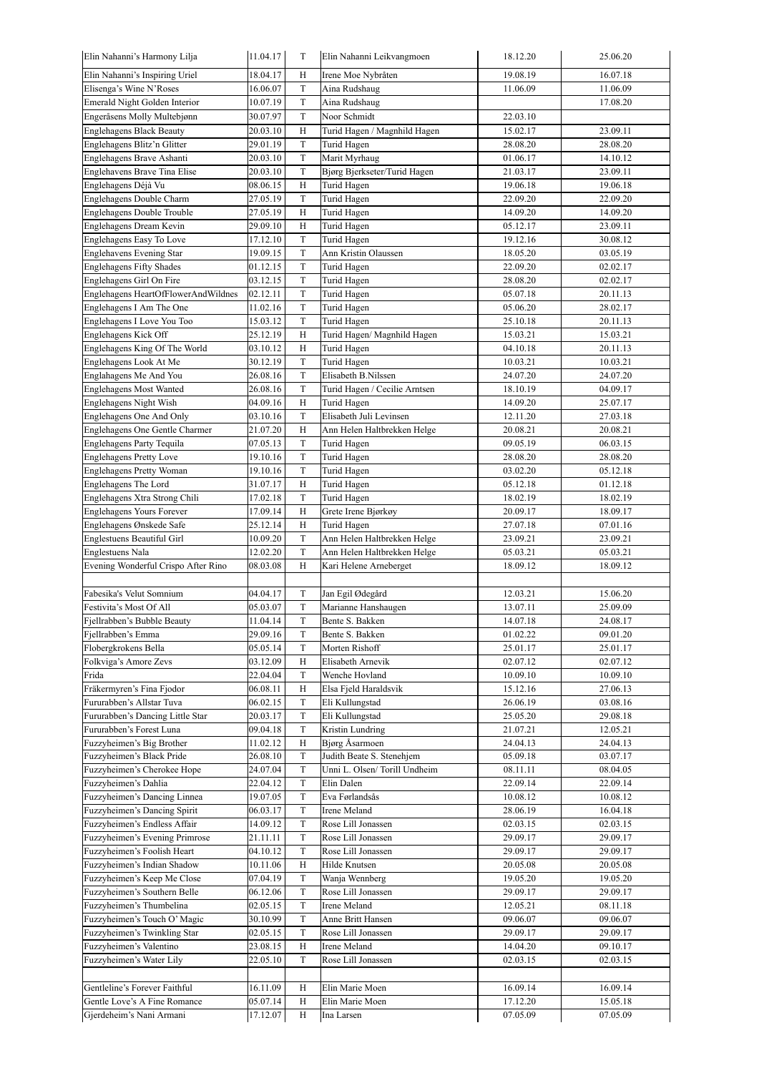| Elin Nahanni's Harmony Lilja                                | 11.04.17             | T                 | Elin Nahanni Leikvangmoen     | 18.12.20             | 25.06.20             |
|-------------------------------------------------------------|----------------------|-------------------|-------------------------------|----------------------|----------------------|
| Elin Nahanni's Inspiring Uriel                              | 18.04.17             | H                 | Irene Moe Nybråten            | 19.08.19             | 16.07.18             |
| Elisenga's Wine N'Roses                                     | 16.06.07             | T                 | Aina Rudshaug                 | 11.06.09             | 11.06.09             |
| Emerald Night Golden Interior                               | 10.07.19             | T                 | Aina Rudshaug                 |                      | 17.08.20             |
| Engeråsens Molly Multebjønn                                 | 30.07.97             | $\rm T$           | Noor Schmidt                  | 22.03.10             |                      |
| <b>Englehagens Black Beauty</b>                             | 20.03.10             | H                 | Turid Hagen / Magnhild Hagen  | 15.02.17             | 23.09.11             |
| Englehagens Blitz'n Glitter                                 | 29.01.19             | $\mathbf T$       | Turid Hagen                   | 28.08.20             | 28.08.20             |
| Englehagens Brave Ashanti                                   | 20.03.10             | $\mathbf T$       | Marit Myrhaug                 | 01.06.17             | 14.10.12             |
| Englehavens Brave Tina Elise                                | 20.03.10             | $\mathcal T$      | Bjørg Bjerkseter/Turid Hagen  | 21.03.17             | 23.09.11             |
| Englehagens Déjà Vu                                         | 08.06.15             | H                 | Turid Hagen                   | 19.06.18             | 19.06.18             |
| Englehagens Double Charm                                    | 27.05.19             | $\mathbf T$       | Turid Hagen                   | 22.09.20             | 22.09.20             |
| Englehagens Double Trouble                                  | 27.05.19             | H                 | Turid Hagen                   | 14.09.20             | 14.09.20             |
| Englehagens Dream Kevin                                     | 29.09.10             | Η                 | Turid Hagen                   | 05.12.17             | 23.09.11             |
| Englehagens Easy To Love                                    | 17.12.10             | T                 | Turid Hagen                   | 19.12.16             | 30.08.12             |
| Englehavens Evening Star<br><b>Englehagens Fifty Shades</b> | 19.09.15             | $\mathcal T$<br>T | Ann Kristin Olaussen          | 18.05.20<br>22.09.20 | 03.05.19<br>02.02.17 |
| Englehagens Girl On Fire                                    | 01.12.15<br>03.12.15 | T                 | Turid Hagen                   | 28.08.20             | 02.02.17             |
| Englehagens HeartOfFlowerAndWildnes                         | 02.12.11             | T                 | Turid Hagen<br>Turid Hagen    | 05.07.18             | 20.11.13             |
| Englehagens I Am The One                                    | 11.02.16             | $\mathcal T$      | Turid Hagen                   | 05.06.20             | 28.02.17             |
| Englehagens I Love You Too                                  | 15.03.12             | $\mathbf T$       | Turid Hagen                   | 25.10.18             | 20.11.13             |
| Englehagens Kick Off                                        | 25.12.19             | $_{\rm H}$        | Turid Hagen/ Magnhild Hagen   | 15.03.21             | 15.03.21             |
| Englehagens King Of The World                               | 03.10.12             | H                 | Turid Hagen                   | 04.10.18             | 20.11.13             |
| Englehagens Look At Me                                      | 30.12.19             | $\mathcal T$      | Turid Hagen                   | 10.03.21             | 10.03.21             |
| Englahagens Me And You                                      | 26.08.16             | T                 | Elisabeth B.Nilssen           | 24.07.20             | 24.07.20             |
| <b>Englehagens Most Wanted</b>                              | 26.08.16             | T                 | Turid Hagen / Cecilie Arntsen | 18.10.19             | 04.09.17             |
| Englehagens Night Wish                                      | 04.09.16             | H                 | Turid Hagen                   | 14.09.20             | 25.07.17             |
| Englehagens One And Only                                    | 03.10.16             | $\mathcal T$      | Elisabeth Juli Levinsen       | 12.11.20             | 27.03.18             |
| Englehagens One Gentle Charmer                              | 21.07.20             | H                 | Ann Helen Haltbrekken Helge   | 20.08.21             | 20.08.21             |
| Englehagens Party Tequila                                   | 07.05.13             | $\mathcal T$      | Turid Hagen                   | 09.05.19             | 06.03.15             |
| <b>Englehagens Pretty Love</b>                              | 19.10.16             | T                 | Turid Hagen                   | 28.08.20             | 28.08.20             |
| Englehagens Pretty Woman                                    | 19.10.16             | T                 | Turid Hagen                   | 03.02.20             | 05.12.18             |
| Englehagens The Lord                                        | 31.07.17             | H                 | Turid Hagen                   | 05.12.18             | 01.12.18             |
| Englehagens Xtra Strong Chili                               | 17.02.18             | T                 | Turid Hagen                   | 18.02.19             | 18.02.19             |
| Englehagens Yours Forever                                   | 17.09.14             | H                 | Grete Irene Bjørkøy           | 20.09.17             | 18.09.17             |
| Englehagens Ønskede Safe                                    | 25.12.14             | H                 | Turid Hagen                   | 27.07.18             | 07.01.16             |
| <b>Englestuens Beautiful Girl</b>                           | 10.09.20             | $\mathcal T$      | Ann Helen Haltbrekken Helge   | 23.09.21             | 23.09.21             |
| <b>Englestuens Nala</b>                                     | 12.02.20             | $\mathcal T$      | Ann Helen Haltbrekken Helge   | 05.03.21             | 05.03.21             |
| Evening Wonderful Crispo After Rino                         | 08.03.08             | H                 | Kari Helene Arneberget        | 18.09.12             | 18.09.12             |
|                                                             |                      |                   |                               |                      |                      |
| Fabesika's Velut Somnium                                    | 04.04.17             | T                 | Jan Egil Ødegård              | 12.03.21             | 15.06.20             |
| Festivita's Most Of All                                     | 05.03.07             | $\mathbf T$       | Marianne Hanshaugen           | 13.07.11             | 25.09.09             |
| Fjellrabben's Bubble Beauty                                 | 11.04.14             | $\mathbf T$       | Bente S. Bakken               | 14.07.18             | 24.08.17             |
| Fjellrabben's Emma                                          | 29.09.16             | T                 | Bente S. Bakken               | 01.02.22             | 09.01.20             |
| Flobergkrokens Bella                                        | 05.05.14             | T                 | Morten Rishoff                | 25.01.17             | 25.01.17             |
| Folkviga's Amore Zevs                                       | 03.12.09             | H                 | Elisabeth Arnevik             | 02.07.12             | 02.07.12             |
| Frida                                                       | 22.04.04             | $\mathbf T$       | Wenche Hovland                | 10.09.10             | 10.09.10             |
| Fräkermyren's Fina Fjodor                                   | 06.08.11             | Η                 | Elsa Fjeld Haraldsvik         | 15.12.16             | 27.06.13             |
| Fururabben's Allstar Tuva                                   | 06.02.15             | $\mathcal T$      | Eli Kullungstad               | 26.06.19             | 03.08.16             |
| Fururabben's Dancing Little Star                            | 20.03.17             | T                 | Eli Kullungstad               | 25.05.20             | 29.08.18             |
| Fururabben's Forest Luna                                    | 09.04.18             | $\mathcal T$      | Kristin Lundring              | 21.07.21             | 12.05.21             |
| Fuzzyheimen's Big Brother                                   | 11.02.12             | H                 | Bjørg Åsarmoen                | 24.04.13             | 24.04.13             |
| Fuzzyheimen's Black Pride                                   | 26.08.10             | T                 | Judith Beate S. Stenehjem     | 05.09.18             | 03.07.17             |
| Fuzzyheimen's Cherokee Hope                                 | 24.07.04             | T                 | Unni L. Olsen/Torill Undheim  | 08.11.11             | 08.04.05             |
| Fuzzyheimen's Dahlia                                        | 22.04.12             | $\mathcal T$      | Elin Dalen                    | 22.09.14             | 22.09.14             |
| Fuzzyheimen's Dancing Linnea                                | 19.07.05             | $\mathcal T$      | Eva Førlandsås                | 10.08.12             | 10.08.12             |
| Fuzzyheimen's Dancing Spirit                                | 06.03.17             | $\mathbf T$       | Irene Meland                  | 28.06.19             | 16.04.18             |
| Fuzzyheimen's Endless Affair                                | 14.09.12             | T                 | Rose Lill Jonassen            | 02.03.15             | 02.03.15             |
| Fuzzyheimen's Evening Primrose                              | 21.11.11             | T                 | Rose Lill Jonassen            | 29.09.17             | 29.09.17             |
| Fuzzyheimen's Foolish Heart                                 | 04.10.12             | T                 | Rose Lill Jonassen            | 29.09.17             | 29.09.17             |
| Fuzzyheimen's Indian Shadow                                 | 10.11.06             | Η                 | Hilde Knutsen                 | 20.05.08             | 20.05.08             |
| Fuzzyheimen's Keep Me Close                                 | 07.04.19             | T                 | Wanja Wennberg                | 19.05.20             | 19.05.20             |
| Fuzzyheimen's Southern Belle                                | 06.12.06             | T                 | Rose Lill Jonassen            | 29.09.17             | 29.09.17             |
| Fuzzyheimen's Thumbelina                                    | 02.05.15             | $\mathcal T$      | Irene Meland                  | 12.05.21             | 08.11.18             |
| Fuzzyheimen's Touch O' Magic                                | 30.10.99             | $\mathcal T$      | Anne Britt Hansen             | 09.06.07             | 09.06.07             |
| Fuzzyheimen's Twinkling Star                                | 02.05.15             | $\mathbf T$       | Rose Lill Jonassen            | 29.09.17             | 29.09.17             |
| Fuzzyheimen's Valentino                                     | 23.08.15             | Η                 | Irene Meland                  | 14.04.20             | 09.10.17             |
| Fuzzyheimen's Water Lily                                    | 22.05.10             | T                 | Rose Lill Jonassen            | 02.03.15             | 02.03.15             |
|                                                             |                      |                   |                               |                      |                      |
| Gentleline's Forever Faithful                               | 16.11.09             | Η                 | Elin Marie Moen               | 16.09.14             | 16.09.14             |
| Gentle Love's A Fine Romance                                | 05.07.14             | H                 | Elin Marie Moen               | 17.12.20             | 15.05.18             |
| Gjerdeheim's Nani Armani                                    | 17.12.07             | H                 | Ina Larsen                    | 07.05.09             | 07.05.09             |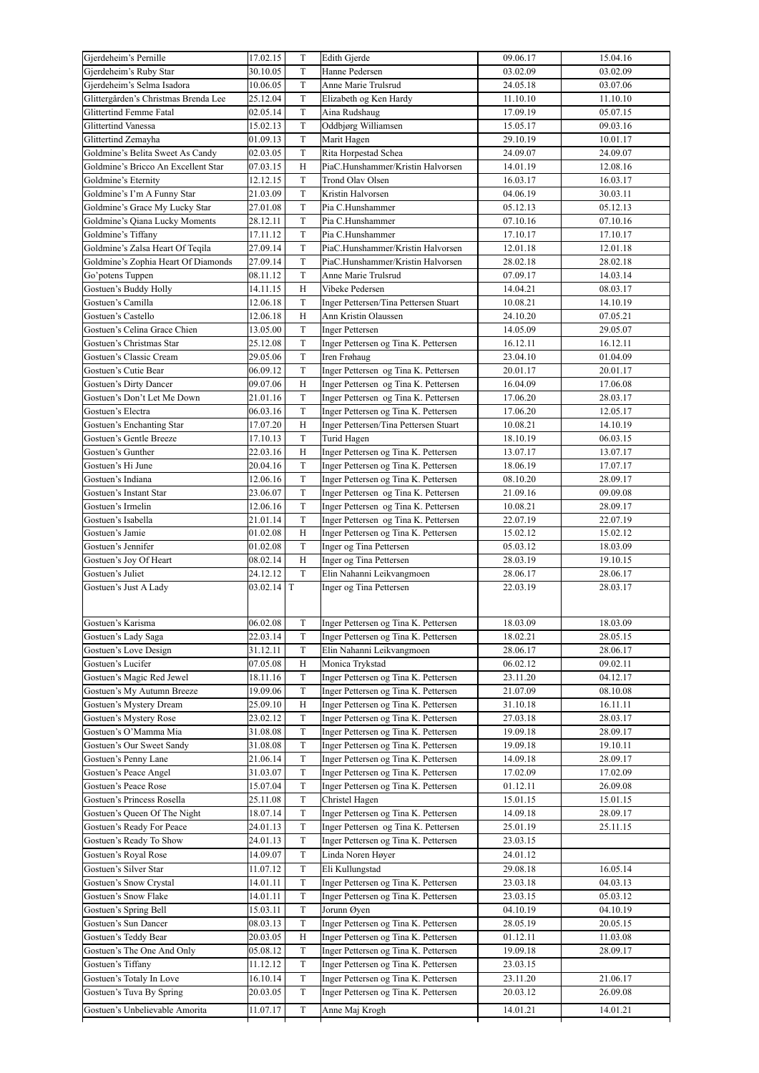| Gjerdeheim's Pernille                                      | 17.02.15             | T                          | Edith Gjerde                                                                 | 09.06.17             | 15.04.16             |
|------------------------------------------------------------|----------------------|----------------------------|------------------------------------------------------------------------------|----------------------|----------------------|
| Gjerdeheim's Ruby Star                                     | 30.10.05             | T                          | Hanne Pedersen                                                               | 03.02.09             | 03.02.09             |
| Gjerdeheim's Selma Isadora                                 | 10.06.05             | $\mathcal T$               | Anne Marie Trulsrud                                                          | 24.05.18             | 03.07.06             |
| Glittergården's Christmas Brenda Lee                       | 25.12.04             | $\mathcal T$               | Elizabeth og Ken Hardy                                                       | 11.10.10             | 11.10.10             |
| Glittertind Femme Fatal                                    | 02.05.14             | $\mathbf T$                | Aina Rudshaug                                                                | 17.09.19             | 05.07.15             |
| Glittertind Vanessa                                        | 15.02.13             | $\mathcal T$               | Oddbjørg Williamsen                                                          | 15.05.17             | 09.03.16             |
| Glittertind Zemayha                                        | 01.09.13             | $\mathbf T$                | Marit Hagen                                                                  | 29.10.19             | 10.01.17             |
| Goldmine's Belita Sweet As Candy                           | 02.03.05             | T                          | Rita Horpestad Schea                                                         | 24.09.07             | 24.09.07             |
| Goldmine's Bricco An Excellent Star                        | 07.03.15             | H                          | PiaC.Hunshammer/Kristin Halvorsen                                            | 14.01.19             | 12.08.16             |
| Goldmine's Eternity                                        | 12.12.15             | T                          | Trond Olav Olsen                                                             | 16.03.17             | 16.03.17             |
| Goldmine's I'm A Funny Star                                | 21.03.09             | T                          | Kristin Halvorsen                                                            | 04.06.19             | 30.03.11             |
| Goldmine's Grace My Lucky Star                             | 27.01.08             | $\mathcal T$               | Pia C.Hunshammer                                                             | 05.12.13             | 05.12.13             |
| Goldmine's Qiana Lucky Moments                             | 28.12.11             | T                          | Pia C.Hunshammer                                                             | 07.10.16             | 07.10.16             |
| Goldmine's Tiffany                                         | 17.11.12             | $\mathbf T$                | Pia C.Hunshammer                                                             | 17.10.17             | 17.10.17             |
| Goldmine's Zalsa Heart Of Teqila                           | 27.09.14             | $\mathbf T$                | PiaC.Hunshammer/Kristin Halvorsen                                            | 12.01.18             | 12.01.18             |
| Goldmine's Zophia Heart Of Diamonds                        | 27.09.14             | $\mathbf T$                | PiaC.Hunshammer/Kristin Halvorsen                                            | 28.02.18             | 28.02.18             |
| Go'potens Tuppen                                           | 08.11.12             | T                          | Anne Marie Trulsrud                                                          | 07.09.17             | 14.03.14             |
| Gostuen's Buddy Holly                                      | 14.11.15             | H                          | Vibeke Pedersen                                                              | 14.04.21             | 08.03.17             |
| Gostuen's Camilla                                          | 12.06.18             | T                          | Inger Pettersen/Tina Pettersen Stuart                                        | 10.08.21             | 14.10.19             |
| Gostuen's Castello                                         | 12.06.18             | $_{\rm H}$                 | Ann Kristin Olaussen                                                         | 24.10.20             | 07.05.21             |
| Gostuen's Celina Grace Chien                               | 13.05.00             | $\mathbf T$                | <b>Inger Pettersen</b>                                                       | 14.05.09             | 29.05.07             |
| Gostuen's Christmas Star                                   | 25.12.08             | T                          | Inger Pettersen og Tina K. Pettersen                                         | 16.12.11             | 16.12.11             |
| Gostuen's Classic Cream                                    | 29.05.06             | $\mathbf T$                | Iren Frøhaug                                                                 | 23.04.10             | 01.04.09             |
| Gostuen's Cutie Bear                                       | 06.09.12             | $\mathbf T$                | Inger Pettersen og Tina K. Pettersen                                         | 20.01.17             | 20.01.17             |
| Gostuen's Dirty Dancer                                     | 09.07.06             | H                          | Inger Pettersen og Tina K. Pettersen                                         | 16.04.09             | 17.06.08             |
| Gostuen's Don't Let Me Down                                | 21.01.16             | $\mathbf T$                | Inger Pettersen og Tina K. Pettersen                                         | 17.06.20             | 28.03.17             |
| Gostuen's Electra                                          | 06.03.16             | T                          | Inger Pettersen og Tina K. Pettersen                                         | 17.06.20             | 12.05.17             |
| Gostuen's Enchanting Star                                  | 17.07.20             | H                          | Inger Pettersen/Tina Pettersen Stuart                                        | 10.08.21             | 14.10.19             |
| Gostuen's Gentle Breeze                                    | 17.10.13             | $\mathbf T$                | Turid Hagen                                                                  | 18.10.19             | 06.03.15             |
| Gostuen's Gunther                                          | 22.03.16             | Н                          | Inger Pettersen og Tina K. Pettersen                                         | 13.07.17             | 13.07.17             |
| Gostuen's Hi June                                          | 20.04.16             | T<br>T                     | Inger Pettersen og Tina K. Pettersen                                         | 18.06.19             | 17.07.17             |
| Gostuen's Indiana                                          | 12.06.16             |                            | Inger Pettersen og Tina K. Pettersen                                         | 08.10.20             | 28.09.17             |
| Gostuen's Instant Star<br>Gostuen's Irmelin                | 23.06.07             | $\mathbf T$<br>$\mathbf T$ | Inger Pettersen og Tina K. Pettersen                                         | 21.09.16             | 09.09.08<br>28.09.17 |
|                                                            | 12.06.16<br>21.01.14 | $\mathbf T$                | Inger Pettersen og Tina K. Pettersen<br>Inger Pettersen og Tina K. Pettersen | 10.08.21             |                      |
| Gostuen's Isabella<br>Gostuen's Jamie                      | 01.02.08             | H                          | Inger Pettersen og Tina K. Pettersen                                         | 22.07.19<br>15.02.12 | 22.07.19<br>15.02.12 |
| Gostuen's Jennifer                                         | 01.02.08             | T                          | Inger og Tina Pettersen                                                      | 05.03.12             | 18.03.09             |
| Gostuen's Joy Of Heart                                     | 08.02.14             | H                          | Inger og Tina Pettersen                                                      | 28.03.19             | 19.10.15             |
|                                                            | 24.12.12             | T                          | Elin Nahanni Leikvangmoen                                                    | 28.06.17             | 28.06.17             |
|                                                            |                      |                            |                                                                              |                      |                      |
| Gostuen's Juliet                                           |                      |                            |                                                                              |                      |                      |
| Gostuen's Just A Lady                                      | 03.02.14 T           |                            | Inger og Tina Pettersen                                                      | 22.03.19             | 28.03.17             |
|                                                            |                      |                            |                                                                              |                      |                      |
| Gostuen's Karisma                                          | 06.02.08             | $\mathcal T$               | Inger Pettersen og Tina K. Pettersen                                         | 18.03.09             | 18.03.09             |
| Gostuen's Lady Saga                                        | 22.03.14             | T                          | Inger Pettersen og Tina K. Pettersen                                         | 18.02.21             | 28.05.15             |
| Gostuen's Love Design                                      | 31.12.11             | T                          | Elin Nahanni Leikvangmoen                                                    | 28.06.17             | 28.06.17             |
| Gostuen's Lucifer                                          | 07.05.08             | Η                          | Monica Trykstad                                                              | 06.02.12             | 09.02.11             |
| Gostuen's Magic Red Jewel                                  | 18.11.16             | T                          | Inger Pettersen og Tina K. Pettersen                                         | 23.11.20             | 04.12.17             |
| Gostuen's My Autumn Breeze                                 | 19.09.06             | T                          | Inger Pettersen og Tina K. Pettersen                                         | 21.07.09             | 08.10.08             |
| Gostuen's Mystery Dream                                    | 25.09.10             | Η                          | Inger Pettersen og Tina K. Pettersen                                         | 31.10.18             | 16.11.11             |
| Gostuen's Mystery Rose                                     | 23.02.12             | T                          | Inger Pettersen og Tina K. Pettersen                                         | 27.03.18             | 28.03.17             |
| Gostuen's O'Mamma Mia                                      | 31.08.08             | T                          | Inger Pettersen og Tina K. Pettersen                                         | 19.09.18             | 28.09.17             |
| Gostuen's Our Sweet Sandy                                  | 31.08.08             | T                          | Inger Pettersen og Tina K. Pettersen                                         | 19.09.18             | 19.10.11             |
| Gostuen's Penny Lane                                       | 21.06.14             | T                          | Inger Pettersen og Tina K. Pettersen                                         | 14.09.18             | 28.09.17             |
| Gostuen's Peace Angel                                      | 31.03.07             | T                          | Inger Pettersen og Tina K. Pettersen                                         | 17.02.09             | 17.02.09             |
| Gostuen's Peace Rose                                       | 15.07.04             | T                          | Inger Pettersen og Tina K. Pettersen                                         | 01.12.11             | 26.09.08             |
| Gostuen's Princess Rosella                                 | 25.11.08             | $\mathbf T$                | Christel Hagen                                                               | 15.01.15             | 15.01.15             |
| Gostuen's Queen Of The Night                               | 18.07.14             | T                          | Inger Pettersen og Tina K. Pettersen                                         | 14.09.18             | 28.09.17             |
| Gostuen's Ready For Peace                                  | 24.01.13             | T                          | Inger Pettersen og Tina K. Pettersen                                         | 25.01.19             | 25.11.15             |
| Gostuen's Ready To Show                                    | 24.01.13             | T                          | Inger Pettersen og Tina K. Pettersen                                         | 23.03.15             |                      |
| Gostuen's Royal Rose                                       | 14.09.07             | T                          | Linda Noren Høyer                                                            | 24.01.12             |                      |
| Gostuen's Silver Star                                      | 11.07.12             | $\mathbf T$                | Eli Kullungstad                                                              | 29.08.18             | 16.05.14             |
| Gostuen's Snow Crystal                                     | 14.01.11             | $\mathbf T$                | Inger Pettersen og Tina K. Pettersen                                         | 23.03.18             | 04.03.13             |
| Gostuen's Snow Flake                                       | 14.01.11             | T                          | Inger Pettersen og Tina K. Pettersen                                         | 23.03.15             | 05.03.12             |
| Gostuen's Spring Bell                                      | 15.03.11             | T                          | Jorunn Øyen                                                                  | 04.10.19             | 04.10.19             |
| Gostuen's Sun Dancer                                       | 08.03.13             | T                          | Inger Pettersen og Tina K. Pettersen                                         | 28.05.19             | 20.05.15             |
| Gostuen's Teddy Bear                                       | 20.03.05             | Η                          | Inger Pettersen og Tina K. Pettersen                                         | 01.12.11             | 11.03.08             |
| Gostuen's The One And Only                                 | 05.08.12             | T                          | Inger Pettersen og Tina K. Pettersen                                         | 19.09.18             | 28.09.17             |
| Gostuen's Tiffany                                          | 11.12.12             | T                          | Inger Pettersen og Tina K. Pettersen                                         | 23.03.15             |                      |
| Gostuen's Totaly In Love                                   | 16.10.14             | T                          | Inger Pettersen og Tina K. Pettersen                                         | 23.11.20             | 21.06.17             |
| Gostuen's Tuva By Spring<br>Gostuen's Unbelievable Amorita | 20.03.05<br>11.07.17 | T<br>$\mathcal T$          | Inger Pettersen og Tina K. Pettersen<br>Anne Maj Krogh                       | 20.03.12<br>14.01.21 | 26.09.08<br>14.01.21 |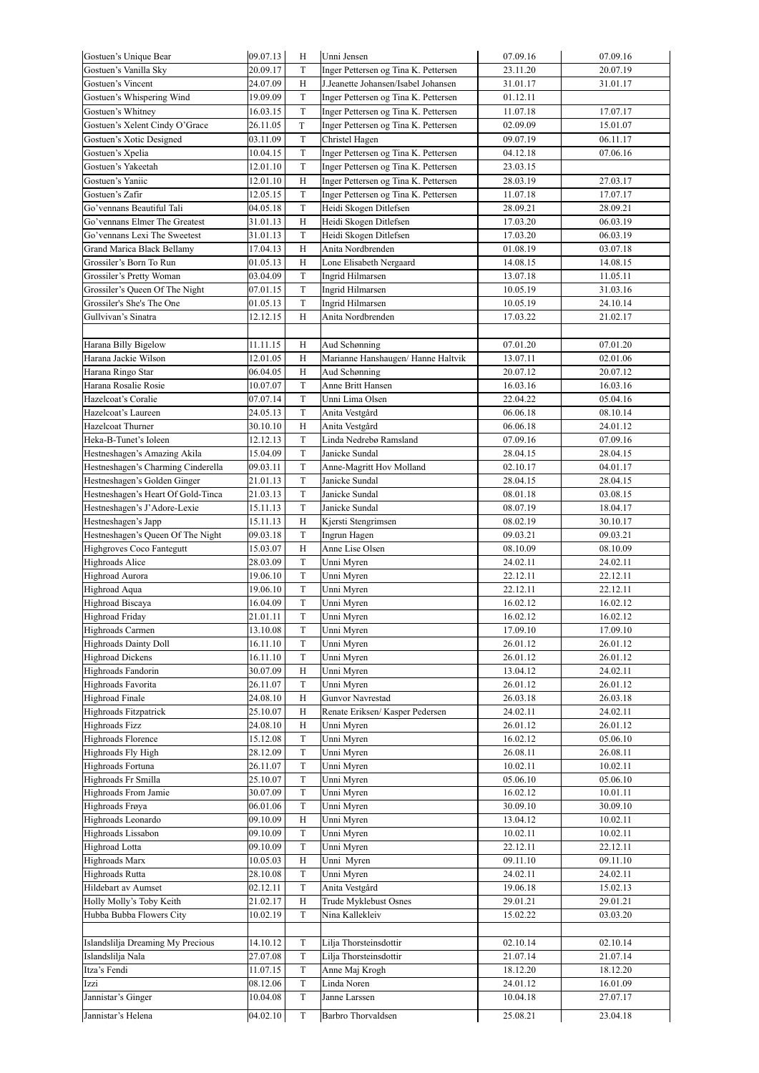| Gostuen's Unique Bear              | 09.07.13 | H            | Unni Jensen                          | 07.09.16             | 07.09.16 |
|------------------------------------|----------|--------------|--------------------------------------|----------------------|----------|
| Gostuen's Vanilla Sky              | 20.09.17 | T            | Inger Pettersen og Tina K. Pettersen | 23.11.20             | 20.07.19 |
| Gostuen's Vincent                  | 24.07.09 | H            | J.Jeanette Johansen/Isabel Johansen  | 31.01.17             | 31.01.17 |
| Gostuen's Whispering Wind          | 19.09.09 | $\mathbf T$  | Inger Pettersen og Tina K. Pettersen | 01.12.11             |          |
| Gostuen's Whitney                  | 16.03.15 | $\mathbf T$  | Inger Pettersen og Tina K. Pettersen | 11.07.18             | 17.07.17 |
| Gostuen's Xelent Cindy O'Grace     | 26.11.05 | $\rm T$      | Inger Pettersen og Tina K. Pettersen | 02.09.09             | 15.01.07 |
| Gostuen's Xotic Designed           | 03.11.09 | T            | Christel Hagen                       | 09.07.19             | 06.11.17 |
| Gostuen's Xpelia                   | 10.04.15 | T            | Inger Pettersen og Tina K. Pettersen | 04.12.18             | 07.06.16 |
| Gostuen's Yakeetah                 | 12.01.10 | T            | Inger Pettersen og Tina K. Pettersen | 23.03.15             |          |
| Gostuen's Yaniic                   | 12.01.10 | H            | Inger Pettersen og Tina K. Pettersen | 28.03.19             | 27.03.17 |
| Gostuen's Zafir                    | 12.05.15 | $\mathbf T$  | Inger Pettersen og Tina K. Pettersen | 11.07.18             | 17.07.17 |
| Go'vennans Beautiful Tali          | 04.05.18 | $\mathbf T$  | Heidi Skogen Ditlefsen               | 28.09.21             | 28.09.21 |
| Go'vennans Elmer The Greatest      | 31.01.13 | Н            | Heidi Skogen Ditlefsen               | 17.03.20             | 06.03.19 |
| Go'vennans Lexi The Sweetest       | 31.01.13 | T            | Heidi Skogen Ditlefsen               | 17.03.20             | 06.03.19 |
| Grand Marica Black Bellamy         | 17.04.13 | $_{\rm H}$   | Anita Nordbrenden                    | 01.08.19             | 03.07.18 |
| Grossiler's Born To Run            | 01.05.13 | H            | Lone Elisabeth Nergaard              | 14.08.15             | 14.08.15 |
| Grossiler's Pretty Woman           | 03.04.09 | $\mathbf T$  | Ingrid Hilmarsen                     | 13.07.18             | 11.05.11 |
| Grossiler's Queen Of The Night     | 07.01.15 | T            | Ingrid Hilmarsen                     | 10.05.19             | 31.03.16 |
| Grossiler's She's The One          | 01.05.13 | $\mathbf T$  | Ingrid Hilmarsen                     | 10.05.19             | 24.10.14 |
| Gullvivan's Sinatra                | 12.12.15 | H            | Anita Nordbrenden                    | 17.03.22             | 21.02.17 |
|                                    |          |              |                                      |                      |          |
|                                    |          |              |                                      |                      |          |
| Harana Billy Bigelow               | 11.11.15 | H            | Aud Schønning                        | 07.01.20             | 07.01.20 |
| Harana Jackie Wilson               | 12.01.05 | H            | Marianne Hanshaugen/ Hanne Haltvik   | 13.07.11             | 02.01.06 |
| Harana Ringo Star                  | 06.04.05 | Η            | Aud Schønning                        | 20.07.12             | 20.07.12 |
| Harana Rosalie Rosie               | 10.07.07 | $\mathcal T$ | Anne Britt Hansen                    | 16.03.16             | 16.03.16 |
| Hazelcoat's Coralie                | 07.07.14 | $\mathbf T$  | Unni Lima Olsen                      | 22.04.22             | 05.04.16 |
| Hazelcoat's Laureen                | 24.05.13 | $\mathbf T$  | Anita Vestgård                       | 06.06.18             | 08.10.14 |
| Hazelcoat Thurner                  | 30.10.10 | H            | Anita Vestgård                       | 06.06.18             | 24.01.12 |
| Heka-B-Tunet's Ioleen              | 12.12.13 | T            | Linda Nedrebø Ramsland               | 07.09.16             | 07.09.16 |
| Hestneshagen's Amazing Akila       | 15.04.09 | T            | Janicke Sundal                       | 28.04.15             | 28.04.15 |
| Hestneshagen's Charming Cinderella | 09.03.11 | T            | Anne-Magritt Hov Molland             | 02.10.17             | 04.01.17 |
| Hestneshagen's Golden Ginger       | 21.01.13 | $\mathbf T$  | Janicke Sundal                       | 28.04.15             | 28.04.15 |
| Hestneshagen's Heart Of Gold-Tinca | 21.03.13 | $\mathcal T$ | Janicke Sundal                       | 08.01.18             | 03.08.15 |
| Hestneshagen's J'Adore-Lexie       | 15.11.13 | $\mathcal T$ | Janicke Sundal                       | 08.07.19             | 18.04.17 |
| Hestneshagen's Japp                | 15.11.13 | H            | Kjersti Stengrimsen                  | 08.02.19             | 30.10.17 |
| Hestneshagen's Queen Of The Night  | 09.03.18 | $\mathcal T$ | Ingrun Hagen                         | 09.03.21             | 09.03.21 |
| Highgroves Coco Fantegutt          | 15.03.07 | H            | Anne Lise Olsen                      | 08.10.09             | 08.10.09 |
| <b>Highroads Alice</b>             | 28.03.09 | T            | Unni Myren                           | 24.02.11             | 24.02.11 |
| Highroad Aurora                    | 19.06.10 | $\mathbf T$  | Unni Myren                           | 22.12.11             | 22.12.11 |
| Highroad Aqua                      | 19.06.10 | $\mathcal T$ | Unni Myren                           | 22.12.11             | 22.12.11 |
| Highroad Biscaya                   | 16.04.09 | $\mathbf T$  | Unni Myren                           | 16.02.12             | 16.02.12 |
| Highroad Friday                    | 21.01.11 | T            | Unni Myren                           | 16.02.12             | 16.02.12 |
| Highroads Carmen                   | 13.10.08 | T            | Unni Myren                           | 17.09.10             | 17.09.10 |
| Highroads Dainty Doll              | 16.11.10 | $\mathbf T$  | Unni Myren                           | 26.01.12             | 26.01.12 |
| <b>Highroad Dickens</b>            | 16.11.10 | T            | Unni Myren                           | 26.01.12             | 26.01.12 |
| Highroads Fandorin                 | 30.07.09 | H            | Unni Myren                           | 13.04.12             | 24.02.11 |
| Highroads Favorita                 | 26.11.07 | T            | Unni Myren                           | 26.01.12             | 26.01.12 |
| <b>Highroad Finale</b>             | 24.08.10 | H            | Gunvor Navrestad                     | 26.03.18             | 26.03.18 |
| Highroads Fitzpatrick              | 25.10.07 | H            | Renate Eriksen/ Kasper Pedersen      | 24.02.11             | 24.02.11 |
| <b>Highroads Fizz</b>              | 24.08.10 | H            | Unni Myren                           | 26.01.12             | 26.01.12 |
| Highroads Florence                 | 15.12.08 | $\mathcal T$ | Unni Myren                           | 16.02.12             | 05.06.10 |
| Highroads Fly High                 | 28.12.09 | $\mathcal T$ | Unni Myren                           | 26.08.11             | 26.08.11 |
| Highroads Fortuna                  | 26.11.07 | $\mathbf T$  | Unni Myren                           | 10.02.11             | 10.02.11 |
| Highroads Fr Smilla                | 25.10.07 | T            | Unni Myren                           | 05.06.10             | 05.06.10 |
| Highroads From Jamie               | 30.07.09 | $\mathcal T$ | Unni Myren                           | 16.02.12             | 10.01.11 |
| Highroads Frøya                    | 06.01.06 | T            | Unni Myren                           | 30.09.10             | 30.09.10 |
| Highroads Leonardo                 | 09.10.09 | H            | Unni Myren                           | 13.04.12             | 10.02.11 |
| Highroads Lissabon                 | 09.10.09 | T            | Unni Myren                           | 10.02.11             | 10.02.11 |
| Highroad Lotta                     | 09.10.09 | $\mathbf T$  | Unni Myren                           | 22.12.11             | 22.12.11 |
| Highroads Marx                     | 10.05.03 | $\, {\rm H}$ | Unni Myren                           | 09.11.10             | 09.11.10 |
| <b>Highroads Rutta</b>             | 28.10.08 | $\mathbf T$  | Unni Myren                           | 24.02.11             | 24.02.11 |
| Hildebart av Aumset                | 02.12.11 | $\mathcal T$ | Anita Vestgård                       | 19.06.18             | 15.02.13 |
| Holly Molly's Toby Keith           | 21.02.17 | Η            | Trude Myklebust Osnes                | 29.01.21             | 29.01.21 |
| Hubba Bubba Flowers City           | 10.02.19 | $\mathbf T$  | Nina Kallekleiv                      | 15.02.22             | 03.03.20 |
|                                    |          |              |                                      |                      |          |
| Islandslilja Dreaming My Precious  |          |              |                                      |                      |          |
|                                    |          |              |                                      |                      |          |
|                                    | 14.10.12 | T            | Lilja Thorsteinsdottir               | 02.10.14             | 02.10.14 |
| Islandslilja Nala                  | 27.07.08 | $\mathcal T$ | Lilja Thorsteinsdottir               | 21.07.14             | 21.07.14 |
| Itza's Fendi                       | 11.07.15 | $\mathbf T$  | Anne Maj Krogh                       | 18.12.20             | 18.12.20 |
| Izzi                               | 08.12.06 | $\mathcal T$ | Linda Noren                          | 24.01.12             | 16.01.09 |
| Jannistar's Ginger                 | 10.04.08 | $\mathbf T$  | Janne Larssen                        | 10.04.18<br>25.08.21 | 27.07.17 |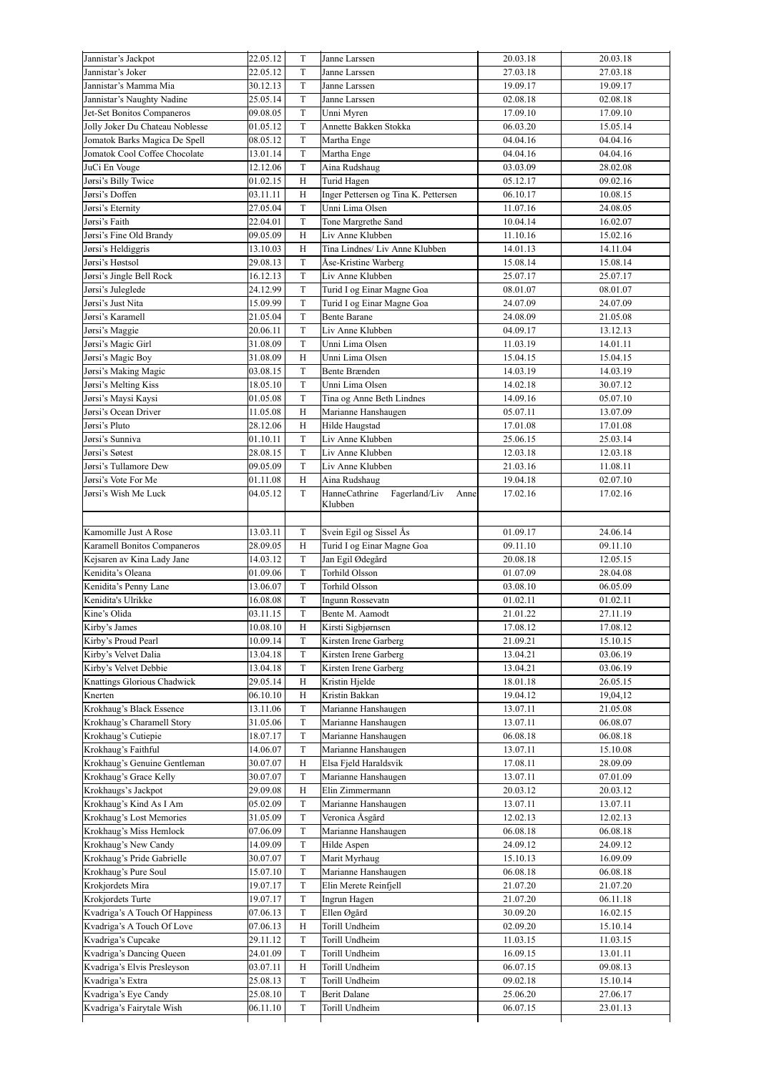| Jannistar's Jackpot                               | 22.05.12             | T                           | Janne Larssen                          | 20.03.18             | 20.03.18             |
|---------------------------------------------------|----------------------|-----------------------------|----------------------------------------|----------------------|----------------------|
| Jannistar's Joker                                 | 22.05.12             | $\mathcal T$                | Janne Larssen                          | 27.03.18             | 27.03.18             |
| Jannistar's Mamma Mia                             | 30.12.13             | $\rm T$                     | Janne Larssen                          | 19.09.17             | 19.09.17             |
| Jannistar's Naughty Nadine                        | 25.05.14             | T                           | Janne Larssen                          | 02.08.18             | 02.08.18             |
| Jet-Set Bonitos Companeros                        | 09.08.05             | $\mathcal T$                | Unni Myren                             | 17.09.10             | 17.09.10             |
| Jolly Joker Du Chateau Noblesse                   | 01.05.12             | $\mathbf T$                 | Annette Bakken Stokka                  | 06.03.20             | 15.05.14             |
| Jomatok Barks Magica De Spell                     | 08.05.12             | $\mathcal T$                | Martha Enge                            | 04.04.16             | 04.04.16             |
| Jomatok Cool Coffee Chocolate                     | 13.01.14             | $\mathcal T$                | Martha Enge                            | 04.04.16             | 04.04.16             |
| JuCi En Vouge                                     | 12.12.06             | $\mathbf T$                 | Aina Rudshaug                          | 03.03.09             | 28.02.08             |
| Jørsi's Billy Twice                               | 01.02.15             | H                           | Turid Hagen                            | 05.12.17             | 09.02.16             |
| Jørsi's Doffen                                    |                      | H                           | Inger Pettersen og Tina K. Pettersen   | 06.10.17             | 10.08.15             |
|                                                   | 03.11.11             |                             |                                        |                      |                      |
| Jørsi's Eternity                                  | 27.05.04             | $\rm T$                     | Unni Lima Olsen                        | 11.07.16             | 24.08.05             |
| Jørsi's Faith                                     | 22.04.01             | $\rm T$                     | Tone Margrethe Sand                    | 10.04.14             | 16.02.07             |
| Jørsi's Fine Old Brandy                           | 09.05.09             | H                           | Liv Anne Klubben                       | 11.10.16             | 15.02.16             |
| Jørsi's Heldiggris                                | 13.10.03             | H                           | Tina Lindnes/ Liv Anne Klubben         | 14.01.13             | 14.11.04             |
| Jørsi's Høstsol                                   | 29.08.13             | $\rm T$                     | Åse-Kristine Warberg                   | 15.08.14             | 15.08.14             |
| Jørsi's Jingle Bell Rock                          | 16.12.13             | $\rm T$                     | Liv Anne Klubben                       | 25.07.17             | 25.07.17             |
| Jørsi's Juleglede                                 | 24.12.99             | T                           | Turid I og Einar Magne Goa             | 08.01.07             | 08.01.07             |
| Jørsi's Just Nita                                 | 15.09.99             | T                           | Turid I og Einar Magne Goa             | 24.07.09             | 24.07.09             |
| Jørsi's Karamell                                  | 21.05.04             | $\rm T$                     | <b>Bente Barane</b>                    | 24.08.09             | 21.05.08             |
| Jørsi's Maggie                                    | 20.06.11             | $\rm T$                     | Liv Anne Klubben                       | 04.09.17             | 13.12.13             |
| Jørsi's Magic Girl                                | 31.08.09             | $\mathcal T$                | Unni Lima Olsen                        | 11.03.19             | 14.01.11             |
| Jørsi's Magic Boy                                 | 31.08.09             | H                           | Unni Lima Olsen                        | 15.04.15             | 15.04.15             |
|                                                   |                      |                             |                                        |                      |                      |
| Jørsi's Making Magic                              | 03.08.15             | $\mathbf T$                 | <b>Bente Brænden</b>                   | 14.03.19             | 14.03.19             |
| Jørsi's Melting Kiss                              | 18.05.10             | $\rm T$                     | Unni Lima Olsen                        | 14.02.18             | 30.07.12             |
| Jørsi's Maysi Kaysi                               | 01.05.08             | $\rm T$                     | Tina og Anne Beth Lindnes              | 14.09.16             | 05.07.10             |
| Jørsi's Ocean Driver                              | 11.05.08             | H                           | Marianne Hanshaugen                    | 05.07.11             | 13.07.09             |
| Jørsi's Pluto                                     | 28.12.06             | H                           | Hilde Haugstad                         | 17.01.08             | 17.01.08             |
| Jørsi's Sunniva                                   | 01.10.11             | T                           | Liv Anne Klubben                       | 25.06.15             | 25.03.14             |
| Jørsi's Søtest                                    | 28.08.15             | T                           | Liv Anne Klubben                       | 12.03.18             | 12.03.18             |
| Jørsi's Tullamore Dew                             | 09.05.09             | $\mathcal T$                | Liv Anne Klubben                       | 21.03.16             | 11.08.11             |
| Jørsi's Vote For Me                               | 01.11.08             | H                           | Aina Rudshaug                          | 19.04.18             | 02.07.10             |
| Jørsi's Wish Me Luck                              | 04.05.12             | T                           | HanneCathrine<br>Fagerland/Liv<br>Anne | 17.02.16             | 17.02.16             |
|                                                   |                      |                             | Klubben                                |                      |                      |
|                                                   |                      |                             |                                        |                      |                      |
| Kamomille Just A Rose                             | 13.03.11             | $\mathcal T$                | Svein Egil og Sissel Ås                | 01.09.17             | 24.06.14             |
| Karamell Bonitos Companeros                       | 28.09.05             | H                           | Turid I og Einar Magne Goa             | 09.11.10             | 09.11.10             |
|                                                   | 14.03.12             | $\mathcal T$                | Jan Egil Ødegård                       | 20.08.18             | 12.05.15             |
|                                                   |                      |                             |                                        |                      |                      |
| Kejsaren av Kina Lady Jane                        |                      |                             |                                        |                      |                      |
| Kenidita's Oleana                                 | 01.09.06             | $\mathcal T$                | Torhild Olsson                         | 01.07.09             | 28.04.08             |
| Kenidita's Penny Lane                             | 13.06.07             | $\mathcal T$                | Torhild Olsson                         | 03.08.10             | 06.05.09             |
| Kenidita's Ulrikke                                | 16.08.08             | $\mathcal T$                | Ingunn Rossevatn                       | 01.02.11             | 01.02.11             |
| Kine's Olida                                      | 03.11.15             | $\rm T$                     | Bente M. Aamodt                        | 21.01.22             | 27.11.19             |
| Kirby's James                                     | 10.08.10             | Н                           | Kirsti Sigbjørnsen                     | 17.08.12             | 17.08.12             |
| Kirby's Proud Pearl                               | 10.09.14             | T                           | Kirsten Irene Garberg                  | 21.09.21             | 15.10.15             |
| Kirby's Velvet Dalia                              | 13.04.18             | T                           | Kirsten Irene Garberg                  | 13.04.21             | 03.06.19             |
| Kirby's Velvet Debbie                             | 13.04.18             | T                           | Kirsten Irene Garberg                  | 13.04.21             | 03.06.19             |
| Knattings Glorious Chadwick                       | 29.05.14             | H                           | Kristin Hjelde                         | 18.01.18             | 26.05.15             |
| Knerten                                           | 06.10.10             | H                           | Kristin Bakkan                         | 19.04.12             | 19,04,12             |
|                                                   |                      |                             |                                        |                      |                      |
| Krokhaug's Black Essence                          | 13.11.06             | $\mathcal T$<br>$\mathbf T$ | Marianne Hanshaugen                    | 13.07.11             | 21.05.08             |
| Krokhaug's Charamell Story                        | 31.05.06             |                             | Marianne Hanshaugen                    | 13.07.11             | 06.08.07             |
| Krokhaug's Cutiepie                               | 18.07.17             | $\mathbf T$                 | Marianne Hanshaugen                    | 06.08.18             | 06.08.18             |
| Krokhaug's Faithful                               | 14.06.07             | T                           | Marianne Hanshaugen                    | 13.07.11             | 15.10.08             |
| Krokhaug's Genuine Gentleman                      | 30.07.07             | H                           | Elsa Fjeld Haraldsvik                  | 17.08.11             | 28.09.09             |
| Krokhaug's Grace Kelly                            | 30.07.07             | $\mathbf T$                 | Marianne Hanshaugen                    | 13.07.11             | 07.01.09             |
| Krokhaugs's Jackpot                               | 29.09.08             | H                           | Elin Zimmermann                        | 20.03.12             | 20.03.12             |
| Krokhaug's Kind As I Am                           | 05.02.09             | T                           | Marianne Hanshaugen                    | 13.07.11             | 13.07.11             |
| Krokhaug's Lost Memories                          | 31.05.09             | T                           | Veronica Åsgård                        | 12.02.13             | 12.02.13             |
| Krokhaug's Miss Hemlock                           | 07.06.09             | $\mathbf T$                 | Marianne Hanshaugen                    | 06.08.18             | 06.08.18             |
| Krokhaug's New Candy                              | 14.09.09             | $\mathbf T$                 | Hilde Aspen                            | 24.09.12             | 24.09.12             |
| Krokhaug's Pride Gabrielle                        | 30.07.07             | $\mathbf T$                 | Marit Myrhaug                          | 15.10.13             | 16.09.09             |
| Krokhaug's Pure Soul                              | 15.07.10             | $\mathbf T$                 | Marianne Hanshaugen                    | 06.08.18             | 06.08.18             |
| Krokjordets Mira                                  | 19.07.17             | $\mathbf T$                 | Elin Merete Reinfjell                  | 21.07.20             | 21.07.20             |
| Krokjordets Turte                                 | 19.07.17             | $\rm T$                     | Ingrun Hagen                           | 21.07.20             | 06.11.18             |
|                                                   | 07.06.13             | T                           |                                        | 30.09.20             |                      |
| Kvadriga's A Touch Of Happiness                   |                      | H                           | Ellen Øgård                            |                      | 16.02.15             |
| Kvadriga's A Touch Of Love                        | 07.06.13             |                             | Torill Undheim                         | 02.09.20             | 15.10.14             |
| Kvadriga's Cupcake                                | 29.11.12             | T                           | Torill Undheim                         | 11.03.15             | 11.03.15             |
| Kvadriga's Dancing Queen                          | 24.01.09             | T                           | Torill Undheim                         | 16.09.15             | 13.01.11             |
| Kvadriga's Elvis Presleyson                       | 03.07.11             | H                           | Torill Undheim                         | 06.07.15             | 09.08.13             |
| Kvadriga's Extra                                  | 25.08.13             | $\mathbf T$                 | Torill Undheim                         | 09.02.18             | 15.10.14             |
| Kvadriga's Eye Candy<br>Kvadriga's Fairytale Wish | 25.08.10<br>06.11.10 | T<br>T                      | Berit Dalane<br>Torill Undheim         | 25.06.20<br>06.07.15 | 27.06.17<br>23.01.13 |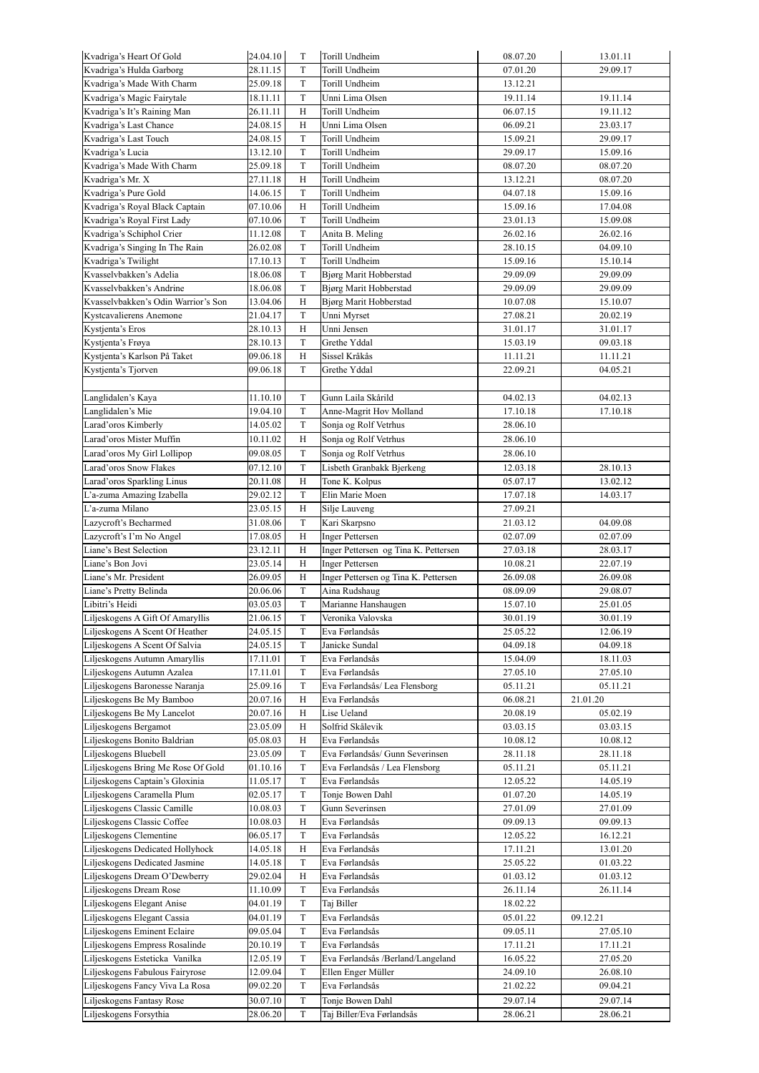| Kvadriga's Heart Of Gold            | 24.04.10 | T            | Torill Undheim                       | 08.07.20 | 13.01.11 |
|-------------------------------------|----------|--------------|--------------------------------------|----------|----------|
| Kvadriga's Hulda Garborg            | 28.11.15 | T            | Torill Undheim                       | 07.01.20 | 29.09.17 |
| Kvadriga's Made With Charm          | 25.09.18 | T            | Torill Undheim                       | 13.12.21 |          |
| Kvadriga's Magic Fairytale          | 18.11.11 | T            | Unni Lima Olsen                      | 19.11.14 | 19.11.14 |
| Kvadriga's It's Raining Man         | 26.11.11 | H            | Torill Undheim                       | 06.07.15 | 19.11.12 |
| Kvadriga's Last Chance              | 24.08.15 | H            | Unni Lima Olsen                      | 06.09.21 | 23.03.17 |
| Kvadriga's Last Touch               | 24.08.15 | $\mathbf T$  | Torill Undheim                       | 15.09.21 | 29.09.17 |
| Kvadriga's Lucia                    | 13.12.10 | T            | Torill Undheim                       | 29.09.17 | 15.09.16 |
| Kvadriga's Made With Charm          | 25.09.18 | T            | Torill Undheim                       | 08.07.20 | 08.07.20 |
| Kvadriga's Mr. X                    | 27.11.18 | H            | Torill Undheim                       | 13.12.21 | 08.07.20 |
| Kvadriga's Pure Gold                | 14.06.15 | $\mathbf T$  | Torill Undheim                       | 04.07.18 | 15.09.16 |
| Kvadriga's Royal Black Captain      | 07.10.06 | H            | Torill Undheim                       | 15.09.16 | 17.04.08 |
|                                     |          | T            | Torill Undheim                       | 23.01.13 |          |
| Kvadriga's Royal First Lady         | 07.10.06 |              |                                      |          | 15.09.08 |
| Kvadriga's Schiphol Crier           | 11.12.08 | T            | Anita B. Meling                      | 26.02.16 | 26.02.16 |
| Kvadriga's Singing In The Rain      | 26.02.08 | T            | Torill Undheim                       | 28.10.15 | 04.09.10 |
| Kvadriga's Twilight                 | 17.10.13 | $\mathbf T$  | Torill Undheim                       | 15.09.16 | 15.10.14 |
| Kvasselvbakken's Adelia             | 18.06.08 | T            | <b>Bjørg Marit Hobberstad</b>        | 29.09.09 | 29.09.09 |
| Kvasselvbakken's Andrine            | 18.06.08 | T            | Bjørg Marit Hobberstad               | 29.09.09 | 29.09.09 |
| Kvasselvbakken's Odin Warrior's Son | 13.04.06 | $\, {\rm H}$ | <b>Bjørg Marit Hobberstad</b>        | 10.07.08 | 15.10.07 |
| Kystcavalierens Anemone             | 21.04.17 | $\mathcal T$ | Unni Myrset                          | 27.08.21 | 20.02.19 |
| Kystienta's Eros                    | 28.10.13 | H            | Unni Jensen                          | 31.01.17 | 31.01.17 |
| Kystjenta's Frøya                   | 28.10.13 | T            | Grethe Yddal                         | 15.03.19 | 09.03.18 |
| Kystjenta's Karlson På Taket        | 09.06.18 | H            | Sissel Kråkås                        | 11.11.21 | 11.11.21 |
| Kystjenta's Tjorven                 | 09.06.18 | T            | Grethe Yddal                         | 22.09.21 | 04.05.21 |
|                                     |          |              |                                      |          |          |
| Langlidalen's Kaya                  | 11.10.10 | T            | Gunn Laila Skårild                   | 04.02.13 | 04.02.13 |
| Langlidalen's Mie                   | 19.04.10 | T            | Anne-Magrit Hov Molland              | 17.10.18 | 17.10.18 |
| Larad'oros Kimberly                 | 14.05.02 | T            | Sonja og Rolf Vetrhus                | 28.06.10 |          |
| Larad'oros Mister Muffin            |          |              |                                      |          |          |
|                                     | 10.11.02 | Η            | Sonja og Rolf Vetrhus                | 28.06.10 |          |
| Larad'oros My Girl Lollipop         | 09.08.05 | T            | Sonja og Rolf Vetrhus                | 28.06.10 |          |
| Larad'oros Snow Flakes              | 07.12.10 | $\mathcal T$ | Lisbeth Granbakk Bjerkeng            | 12.03.18 | 28.10.13 |
| Larad'oros Sparkling Linus          | 20.11.08 | H            | Tone K. Kolpus                       | 05.07.17 | 13.02.12 |
| L'a-zuma Amazing Izabella           | 29.02.12 | T            | Elin Marie Moen                      | 17.07.18 | 14.03.17 |
| L'a-zuma Milano                     | 23.05.15 | H            | Silje Lauveng                        | 27.09.21 |          |
| Lazycroft's Becharmed               | 31.08.06 | T            | Kari Skarpsno                        | 21.03.12 | 04.09.08 |
| Lazycroft's I'm No Angel            | 17.08.05 | H            | <b>Inger Pettersen</b>               | 02.07.09 | 02.07.09 |
| Liane's Best Selection              | 23.12.11 | H            | Inger Pettersen og Tina K. Pettersen | 27.03.18 | 28.03.17 |
| Liane's Bon Jovi                    | 23.05.14 | Η            | <b>Inger Pettersen</b>               | 10.08.21 | 22.07.19 |
| Liane's Mr. President               | 26.09.05 | H            | Inger Pettersen og Tina K. Pettersen | 26.09.08 | 26.09.08 |
| Liane's Pretty Belinda              | 20.06.06 | T            | Aina Rudshaug                        | 08.09.09 | 29.08.07 |
| Libitri's Heidi                     | 03.05.03 | T            | Marianne Hanshaugen                  | 15.07.10 | 25.01.05 |
| Liljeskogens A Gift Of Amaryllis    | 21.06.15 | $\mathbf T$  | Veronika Valovska                    | 30.01.19 | 30.01.19 |
| Liljeskogens A Scent Of Heather     | 24.05.15 | T            | Eva Førlandsås                       | 25.05.22 | 12.06.19 |
| Liljeskogens A Scent Of Salvia      | 24.05.15 | T            | Janicke Sundal                       | 04.09.18 | 04.09.18 |
|                                     |          |              |                                      |          |          |
| Liljeskogens Autumn Amaryllis       | 17.11.01 | T            | Eva Førlandsås                       | 15.04.09 | 18.11.03 |
| Liljeskogens Autumn Azalea          | 17.11.01 | T            | Eva Førlandsås                       | 27.05.10 | 27.05.10 |
| Liljeskogens Baronesse Naranja      | 25.09.16 | T            | Eva Førlandsås/ Lea Flensborg        | 05.11.21 | 05.11.21 |
| Liljeskogens Be My Bamboo           | 20.07.16 | Η            | Eva Førlandsås                       | 06.08.21 | 21.01.20 |
| Liljeskogens Be My Lancelot         | 20.07.16 | Η            | Lise Ueland                          | 20.08.19 | 05.02.19 |
| Liljeskogens Bergamot               | 23.05.09 | Η            | Solfrid Skålevik                     | 03.03.15 | 03.03.15 |
| Liljeskogens Bonito Baldrian        | 05.08.03 | Η            | Eva Førlandsås                       | 10.08.12 | 10.08.12 |
| Liljeskogens Bluebell               | 23.05.09 | T            | Eva Førlandsås/ Gunn Severinsen      | 28.11.18 | 28.11.18 |
| Liljeskogens Bring Me Rose Of Gold  | 01.10.16 | T            | Eva Førlandsås / Lea Flensborg       | 05.11.21 | 05.11.21 |
| Liljeskogens Captain's Gloxinia     | 11.05.17 | T            | Eva Førlandsås                       | 12.05.22 | 14.05.19 |
| Liljeskogens Caramella Plum         | 02.05.17 | T            | Tonje Bowen Dahl                     | 01.07.20 | 14.05.19 |
| Liljeskogens Classic Camille        | 10.08.03 | T            | Gunn Severinsen                      | 27.01.09 | 27.01.09 |
| Liljeskogens Classic Coffee         | 10.08.03 | Η            | Eva Førlandsås                       | 09.09.13 | 09.09.13 |
| Liljeskogens Clementine             | 06.05.17 | T            | Eva Førlandsås                       | 12.05.22 | 16.12.21 |
| Liljeskogens Dedicated Hollyhock    | 14.05.18 | Н            | Eva Førlandsås                       | 17.11.21 | 13.01.20 |
| Liljeskogens Dedicated Jasmine      | 14.05.18 | T            | Eva Førlandsås                       | 25.05.22 | 01.03.22 |
| Liljeskogens Dream O'Dewberry       | 29.02.04 | Н            | Eva Førlandsås                       | 01.03.12 | 01.03.12 |
| Liljeskogens Dream Rose             | 11.10.09 | T            | Eva Førlandsås                       | 26.11.14 | 26.11.14 |
|                                     |          |              |                                      |          |          |
| Liljeskogens Elegant Anise          | 04.01.19 | T            | Taj Biller                           | 18.02.22 |          |
| Liljeskogens Elegant Cassia         | 04.01.19 | T            | Eva Førlandsås                       | 05.01.22 | 09.12.21 |
| Liljeskogens Eminent Eclaire        | 09.05.04 | T            | Eva Førlandsås                       | 09.05.11 | 27.05.10 |
| Liljeskogens Empress Rosalinde      | 20.10.19 | T            | Eva Førlandsås                       | 17.11.21 | 17.11.21 |
| Liljeskogens Esteticka Vanilka      | 12.05.19 | T            | Eva Førlandsås /Berland/Langeland    | 16.05.22 | 27.05.20 |
| Liljeskogens Fabulous Fairyrose     | 12.09.04 | T            | Ellen Enger Müller                   | 24.09.10 | 26.08.10 |
| Liljeskogens Fancy Viva La Rosa     | 09.02.20 | T            | Eva Førlandsås                       | 21.02.22 | 09.04.21 |
| Liljeskogens Fantasy Rose           | 30.07.10 | T            | Tonje Bowen Dahl                     | 29.07.14 | 29.07.14 |
| Liljeskogens Forsythia              | 28.06.20 | T            | Taj Biller/Eva Førlandsås            | 28.06.21 | 28.06.21 |
|                                     |          |              |                                      |          |          |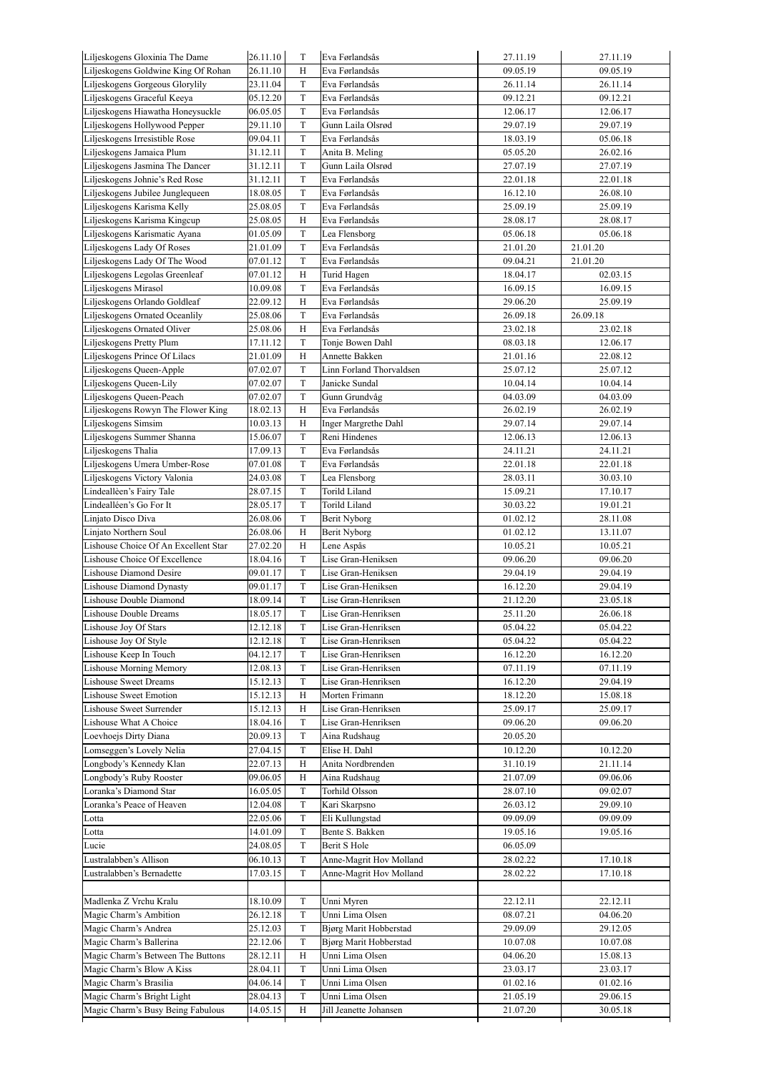| Liljeskogens Gloxinia The Dame       | 26.11.10 | T           | Eva Førlandsås                | 27.11.19 | 27.11.19 |
|--------------------------------------|----------|-------------|-------------------------------|----------|----------|
| Liljeskogens Goldwine King Of Rohan  | 26.11.10 | Н           | Eva Førlandsås                | 09.05.19 | 09.05.19 |
| Liljeskogens Gorgeous Glorylily      | 23.11.04 | T           | Eva Førlandsås                | 26.11.14 | 26.11.14 |
| Liljeskogens Graceful Keeya          | 05.12.20 | T           | Eva Førlandsås                | 09.12.21 | 09.12.21 |
| Liljeskogens Hiawatha Honeysuckle    | 06.05.05 | T           | Eva Førlandsås                | 12.06.17 | 12.06.17 |
| Liljeskogens Hollywood Pepper        | 29.11.10 | T           | Gunn Laila Olsrød             | 29.07.19 | 29.07.19 |
| Liljeskogens Irresistible Rose       | 09.04.11 | T           | Eva Førlandsås                | 18.03.19 | 05.06.18 |
| Liljeskogens Jamaica Plum            | 31.12.11 | T           | Anita B. Meling               | 05.05.20 | 26.02.16 |
| Liljeskogens Jasmina The Dancer      | 31.12.11 | T           | Gunn Laila Olsrød             | 27.07.19 | 27.07.19 |
| Liljeskogens Johnie's Red Rose       | 31.12.11 | $\mathbf T$ | Eva Førlandsås                | 22.01.18 | 22.01.18 |
| Liljeskogens Jubilee Junglequeen     | 18.08.05 | T           | Eva Førlandsås                | 16.12.10 | 26.08.10 |
| Liljeskogens Karisma Kelly           | 25.08.05 | T           | Eva Førlandsås                | 25.09.19 | 25.09.19 |
|                                      |          |             |                               |          |          |
| Liljeskogens Karisma Kingcup         | 25.08.05 | Н           | Eva Førlandsås                | 28.08.17 | 28.08.17 |
| Liljeskogens Karismatic Ayana        | 01.05.09 | T           | Lea Flensborg                 | 05.06.18 | 05.06.18 |
| Liljeskogens Lady Of Roses           | 21.01.09 | T           | Eva Førlandsås                | 21.01.20 | 21.01.20 |
| Liljeskogens Lady Of The Wood        | 07.01.12 | $\mathbf T$ | Eva Førlandsås                | 09.04.21 | 21.01.20 |
| Liljeskogens Legolas Greenleaf       | 07.01.12 | Н           | Turid Hagen                   | 18.04.17 | 02.03.15 |
| Liljeskogens Mirasol                 | 10.09.08 | T           | Eva Førlandsås                | 16.09.15 | 16.09.15 |
| Liljeskogens Orlando Goldleaf        | 22.09.12 | H           | Eva Førlandsås                | 29.06.20 | 25.09.19 |
| Liljeskogens Ornated Oceanlily       | 25.08.06 | T           | Eva Førlandsås                | 26.09.18 | 26.09.18 |
| Liljeskogens Ornated Oliver          | 25.08.06 | Н           | Eva Førlandsås                | 23.02.18 | 23.02.18 |
| Liljeskogens Pretty Plum             | 17.11.12 | T           | Tonje Bowen Dahl              | 08.03.18 | 12.06.17 |
| Liljeskogens Prince Of Lilacs        | 21.01.09 | Н           | Annette Bakken                | 21.01.16 | 22.08.12 |
| Liljeskogens Queen-Apple             | 07.02.07 | T           | Linn Forland Thorvaldsen      | 25.07.12 | 25.07.12 |
|                                      |          |             |                               |          |          |
| Liljeskogens Queen-Lily              | 07.02.07 | T           | Janicke Sundal                | 10.04.14 | 10.04.14 |
| Liljeskogens Queen-Peach             | 07.02.07 | T           | Gunn Grundvåg                 | 04.03.09 | 04.03.09 |
| Liljeskogens Rowyn The Flower King   | 18.02.13 | Н           | Eva Førlandsås                | 26.02.19 | 26.02.19 |
| Liljeskogens Simsim                  | 10.03.13 | Н           | Inger Margrethe Dahl          | 29.07.14 | 29.07.14 |
| Liljeskogens Summer Shanna           | 15.06.07 | T           | Reni Hindenes                 | 12.06.13 | 12.06.13 |
| Liljeskogens Thalia                  | 17.09.13 | T           | Eva Førlandsås                | 24.11.21 | 24.11.21 |
| Liljeskogens Umera Umber-Rose        | 07.01.08 | T           | Eva Førlandsås                | 22.01.18 | 22.01.18 |
| Liljeskogens Victory Valonia         | 24.03.08 | T           | Lea Flensborg                 | 28.03.11 | 30.03.10 |
| Lindeallèen's Fairy Tale             | 28.07.15 | T           | Torild Liland                 | 15.09.21 | 17.10.17 |
| Lindealléen's Go For It              | 28.05.17 | T           | Torild Liland                 | 30.03.22 | 19.01.21 |
| Linjato Disco Diva                   | 26.08.06 | T           | Berit Nyborg                  | 01.02.12 | 28.11.08 |
| Linjato Northern Soul                | 26.08.06 | Н           | Berit Nyborg                  | 01.02.12 | 13.11.07 |
|                                      |          |             |                               |          |          |
| Lishouse Choice Of An Excellent Star | 27.02.20 | Н           | Lene Aspås                    | 10.05.21 | 10.05.21 |
| Lishouse Choice Of Excellence        | 18.04.16 | $\mathbf T$ | Lise Gran-Heniksen            | 09.06.20 | 09.06.20 |
| Lishouse Diamond Desire              | 09.01.17 | T           | Lise Gran-Heniksen            | 29.04.19 | 29.04.19 |
| Lishouse Diamond Dynasty             | 09.01.17 | T           | Lise Gran-Heniksen            | 16.12.20 | 29.04.19 |
| Lishouse Double Diamond              | 18.09.14 | T           | Lise Gran-Henriksen           | 21.12.20 | 23.05.18 |
| Lishouse Double Dreams               | 18.05.17 | T           | Lise Gran-Henriksen           | 25.11.20 | 26.06.18 |
| Lishouse Joy Of Stars                | 12.12.18 | T           | Lise Gran-Henriksen           | 05.04.22 | 05.04.22 |
| Lishouse Joy Of Style                | 12.12.18 | T           | Lise Gran-Henriksen           | 05.04.22 | 05.04.22 |
| Lishouse Keep In Touch               | 04.12.17 | T           | Lise Gran-Henriksen           | 16.12.20 | 16.12.20 |
| <b>Lishouse Morning Memory</b>       | 12.08.13 | T           | Lise Gran-Henriksen           | 07.11.19 | 07.11.19 |
| <b>Lishouse Sweet Dreams</b>         | 15.12.13 | T           | Lise Gran-Henriksen           | 16.12.20 | 29.04.19 |
|                                      |          |             |                               |          | 15.08.18 |
| <b>Lishouse Sweet Emotion</b>        | 15.12.13 | Н           | Morten Frimann                | 18.12.20 |          |
| Lishouse Sweet Surrender             | 15.12.13 | Н           | Lise Gran-Henriksen           | 25.09.17 | 25.09.17 |
| Lishouse What A Choice               | 18.04.16 | T           | Lise Gran-Henriksen           | 09.06.20 | 09.06.20 |
| Loevhoejs Dirty Diana                | 20.09.13 | T           | Aina Rudshaug                 | 20.05.20 |          |
| Lomseggen's Lovely Nelia             | 27.04.15 | T           | Elise H. Dahl                 | 10.12.20 | 10.12.20 |
| Longbody's Kennedy Klan              | 22.07.13 | Н           | Anita Nordbrenden             | 31.10.19 | 21.11.14 |
| Longbody's Ruby Rooster              | 09.06.05 | Н           | Aina Rudshaug                 | 21.07.09 | 09.06.06 |
| Loranka's Diamond Star               | 16.05.05 | T           | Torhild Olsson                | 28.07.10 | 09.02.07 |
| Loranka's Peace of Heaven            | 12.04.08 | T           | Kari Skarpsno                 | 26.03.12 | 29.09.10 |
| Lotta                                | 22.05.06 | T           | Eli Kullungstad               | 09.09.09 | 09.09.09 |
| Lotta                                | 14.01.09 | T           | Bente S. Bakken               | 19.05.16 | 19.05.16 |
| Lucie                                | 24.08.05 | $\mathbf T$ | Berit S Hole                  | 06.05.09 |          |
|                                      |          |             |                               |          |          |
| Lustralabben's Allison               | 06.10.13 | $\mathbf T$ | Anne-Magrit Hov Molland       | 28.02.22 | 17.10.18 |
| Lustralabben's Bernadette            | 17.03.15 | T           | Anne-Magrit Hov Molland       | 28.02.22 | 17.10.18 |
|                                      |          |             |                               |          |          |
| Madlenka Z Vrchu Kralu               | 18.10.09 | T           | Unni Myren                    | 22.12.11 | 22.12.11 |
| Magic Charm's Ambition               | 26.12.18 | T           | Unni Lima Olsen               | 08.07.21 | 04.06.20 |
| Magic Charm's Andrea                 | 25.12.03 | $\mathbf T$ | Bjørg Marit Hobberstad        | 29.09.09 | 29.12.05 |
| Magic Charm's Ballerina              | 22.12.06 | T           | <b>Bjørg Marit Hobberstad</b> | 10.07.08 | 10.07.08 |
|                                      |          |             |                               |          |          |
| Magic Charm's Between The Buttons    | 28.12.11 | Н           | Unni Lima Olsen               | 04.06.20 | 15.08.13 |
| Magic Charm's Blow A Kiss            | 28.04.11 | T           | Unni Lima Olsen               | 23.03.17 | 23.03.17 |
| Magic Charm's Brasilia               | 04.06.14 | T           | Unni Lima Olsen               | 01.02.16 | 01.02.16 |
| Magic Charm's Bright Light           | 28.04.13 | T           | Unni Lima Olsen               | 21.05.19 | 29.06.15 |
| Magic Charm's Busy Being Fabulous    | 14.05.15 | Н           | Jill Jeanette Johansen        | 21.07.20 | 30.05.18 |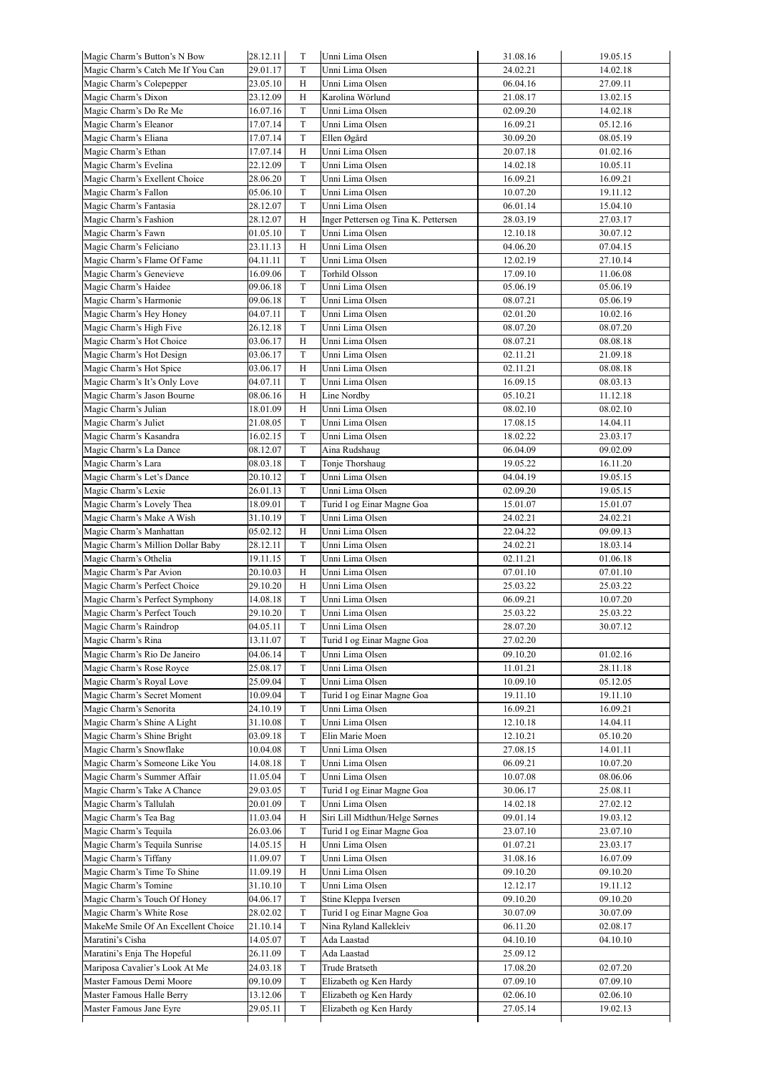| Magic Charm's Button's N Bow        | 28.12.11 | T           | Unni Lima Olsen                      | 31.08.16 | 19.05.15 |
|-------------------------------------|----------|-------------|--------------------------------------|----------|----------|
| Magic Charm's Catch Me If You Can   | 29.01.17 | T           | Unni Lima Olsen                      | 24.02.21 | 14.02.18 |
| Magic Charm's Colepepper            | 23.05.10 | Н           | Unni Lima Olsen                      | 06.04.16 | 27.09.11 |
| Magic Charm's Dixon                 | 23.12.09 | Н           | Karolina Wörlund                     | 21.08.17 | 13.02.15 |
| Magic Charm's Do Re Me              | 16.07.16 | T           | Unni Lima Olsen                      | 02.09.20 | 14.02.18 |
| Magic Charm's Eleanor               | 17.07.14 | T           | Unni Lima Olsen                      | 16.09.21 | 05.12.16 |
| Magic Charm's Eliana                | 17.07.14 | T           | Ellen Øgård                          | 30.09.20 | 08.05.19 |
| Magic Charm's Ethan                 | 17.07.14 | Н           | Unni Lima Olsen                      | 20.07.18 | 01.02.16 |
|                                     | 22.12.09 | T           | Unni Lima Olsen                      | 14.02.18 | 10.05.11 |
| Magic Charm's Evelina               |          |             |                                      |          |          |
| Magic Charm's Exellent Choice       | 28.06.20 | T           | Unni Lima Olsen                      | 16.09.21 | 16.09.21 |
| Magic Charm's Fallon                | 05.06.10 | T           | Unni Lima Olsen                      | 10.07.20 | 19.11.12 |
| Magic Charm's Fantasia              | 28.12.07 | T           | Unni Lima Olsen                      | 06.01.14 | 15.04.10 |
| Magic Charm's Fashion               | 28.12.07 | Н           | Inger Pettersen og Tina K. Pettersen | 28.03.19 | 27.03.17 |
| Magic Charm's Fawn                  | 01.05.10 | T           | Unni Lima Olsen                      | 12.10.18 | 30.07.12 |
| Magic Charm's Feliciano             | 23.11.13 | H           | Unni Lima Olsen                      | 04.06.20 | 07.04.15 |
| Magic Charm's Flame Of Fame         | 04.11.11 | T           | Unni Lima Olsen                      | 12.02.19 | 27.10.14 |
| Magic Charm's Genevieve             | 16.09.06 | T           | Torhild Olsson                       | 17.09.10 | 11.06.08 |
| Magic Charm's Haidee                | 09.06.18 | T           | Unni Lima Olsen                      | 05.06.19 | 05.06.19 |
| Magic Charm's Harmonie              | 09.06.18 | T           | Unni Lima Olsen                      | 08.07.21 | 05.06.19 |
| Magic Charm's Hey Honey             | 04.07.11 | T           | Unni Lima Olsen                      | 02.01.20 | 10.02.16 |
|                                     | 26.12.18 | T           | Unni Lima Olsen                      |          |          |
| Magic Charm's High Five             |          |             |                                      | 08.07.20 | 08.07.20 |
| Magic Charm's Hot Choice            | 03.06.17 | Н           | Unni Lima Olsen                      | 08.07.21 | 08.08.18 |
| Magic Charm's Hot Design            | 03.06.17 | T           | Unni Lima Olsen                      | 02.11.21 | 21.09.18 |
| Magic Charm's Hot Spice             | 03.06.17 | Н           | Unni Lima Olsen                      | 02.11.21 | 08.08.18 |
| Magic Charm's It's Only Love        | 04.07.11 | T           | Unni Lima Olsen                      | 16.09.15 | 08.03.13 |
| Magic Charm's Jason Bourne          | 08.06.16 | Н           | Line Nordby                          | 05.10.21 | 11.12.18 |
| Magic Charm's Julian                | 18.01.09 | Н           | Unni Lima Olsen                      | 08.02.10 | 08.02.10 |
| Magic Charm's Juliet                | 21.08.05 | T           | Unni Lima Olsen                      | 17.08.15 | 14.04.11 |
| Magic Charm's Kasandra              | 16.02.15 | T           | Unni Lima Olsen                      | 18.02.22 | 23.03.17 |
| Magic Charm's La Dance              | 08.12.07 | T           | Aina Rudshaug                        | 06.04.09 | 09.02.09 |
| Magic Charm's Lara                  | 08.03.18 | T           | Tonje Thorshaug                      | 19.05.22 | 16.11.20 |
| Magic Charm's Let's Dance           | 20.10.12 | T           | Unni Lima Olsen                      | 04.04.19 | 19.05.15 |
| Magic Charm's Lexie                 | 26.01.13 | T           | Unni Lima Olsen                      | 02.09.20 | 19.05.15 |
|                                     |          |             |                                      |          |          |
| Magic Charm's Lovely Thea           | 18.09.01 | T           | Turid I og Einar Magne Goa           | 15.01.07 | 15.01.07 |
| Magic Charm's Make A Wish           | 31.10.19 | T           | Unni Lima Olsen                      | 24.02.21 | 24.02.21 |
| Magic Charm's Manhattan             | 05.02.12 | H           | Unni Lima Olsen                      | 22.04.22 | 09.09.13 |
| Magic Charm's Million Dollar Baby   | 28.12.11 | T           | Unni Lima Olsen                      | 24.02.21 | 18.03.14 |
| Magic Charm's Othelia               | 19.11.15 | T           | Unni Lima Olsen                      | 02.11.21 | 01.06.18 |
| Magic Charm's Par Avion             | 20.10.03 | Н           | Unni Lima Olsen                      | 07.01.10 | 07.01.10 |
| Magic Charm's Perfect Choice        | 29.10.20 | Н           | Unni Lima Olsen                      | 25.03.22 | 25.03.22 |
| Magic Charm's Perfect Symphony      | 14.08.18 | T           | Unni Lima Olsen                      | 06.09.21 | 10.07.20 |
| Magic Charm's Perfect Touch         | 29.10.20 | T           | Unni Lima Olsen                      | 25.03.22 | 25.03.22 |
| Magic Charm's Raindrop              | 04.05.11 | T           | Unni Lima Olsen                      | 28.07.20 | 30.07.12 |
| Magic Charm's Rina                  | 13.11.07 | $\mathbf T$ | Turid I og Einar Magne Goa           | 27.02.20 |          |
| Magic Charm's Rio De Janeiro        |          | T           | Unni Lima Olsen                      |          |          |
|                                     | 04.06.14 |             |                                      | 09.10.20 | 01.02.16 |
| Magic Charm's Rose Royce            | 25.08.17 | T           | Unni Lima Olsen                      | 11.01.21 | 28.11.18 |
| Magic Charm's Royal Love            | 25.09.04 | T           | Unni Lima Olsen                      | 10.09.10 | 05.12.05 |
| Magic Charm's Secret Moment         | 10.09.04 | T           | Turid I og Einar Magne Goa           | 19.11.10 | 19.11.10 |
| Magic Charm's Senorita              | 24.10.19 | T           | Unni Lima Olsen                      | 16.09.21 | 16.09.21 |
| Magic Charm's Shine A Light         | 31.10.08 | T           | Unni Lima Olsen                      | 12.10.18 | 14.04.11 |
| Magic Charm's Shine Bright          | 03.09.18 | T           | Elin Marie Moen                      | 12.10.21 | 05.10.20 |
| Magic Charm's Snowflake             | 10.04.08 | T           | Unni Lima Olsen                      | 27.08.15 | 14.01.11 |
| Magic Charm's Someone Like You      | 14.08.18 | T           | Unni Lima Olsen                      | 06.09.21 | 10.07.20 |
| Magic Charm's Summer Affair         | 11.05.04 | T           | Unni Lima Olsen                      | 10.07.08 | 08.06.06 |
| Magic Charm's Take A Chance         | 29.03.05 | T           | Turid I og Einar Magne Goa           | 30.06.17 | 25.08.11 |
| Magic Charm's Tallulah              | 20.01.09 | T           | Unni Lima Olsen                      | 14.02.18 | 27.02.12 |
| Magic Charm's Tea Bag               | 11.03.04 | Н           | Siri Lill Midthun/Helge Sørnes       | 09.01.14 | 19.03.12 |
| Magic Charm's Tequila               | 26.03.06 | T           | Turid I og Einar Magne Goa           | 23.07.10 | 23.07.10 |
|                                     |          |             |                                      |          |          |
| Magic Charm's Tequila Sunrise       | 14.05.15 | H           | Unni Lima Olsen                      | 01.07.21 | 23.03.17 |
| Magic Charm's Tiffany               | 11.09.07 | T           | Unni Lima Olsen                      | 31.08.16 | 16.07.09 |
| Magic Charm's Time To Shine         | 11.09.19 | Н           | Unni Lima Olsen                      | 09.10.20 | 09.10.20 |
| Magic Charm's Tomine                | 31.10.10 | T           | Unni Lima Olsen                      | 12.12.17 | 19.11.12 |
| Magic Charm's Touch Of Honey        | 04.06.17 | T           | Stine Kleppa Iversen                 | 09.10.20 | 09.10.20 |
| Magic Charm's White Rose            | 28.02.02 | T           | Turid I og Einar Magne Goa           | 30.07.09 | 30.07.09 |
| MakeMe Smile Of An Excellent Choice | 21.10.14 | T           | Nina Ryland Kallekleiv               | 06.11.20 | 02.08.17 |
| Maratini's Cisha                    | 14.05.07 | T           | Ada Laastad                          | 04.10.10 | 04.10.10 |
| Maratini's Enja The Hopeful         | 26.11.09 | T           | Ada Laastad                          | 25.09.12 |          |
| Mariposa Cavalier's Look At Me      | 24.03.18 | T           | Trude Bratseth                       | 17.08.20 | 02.07.20 |
|                                     |          |             |                                      |          |          |
| Master Famous Demi Moore            | 09.10.09 | T           | Elizabeth og Ken Hardy               | 07.09.10 | 07.09.10 |
| Master Famous Halle Berry           | 13.12.06 | T           | Elizabeth og Ken Hardy               | 02.06.10 | 02.06.10 |
| Master Famous Jane Eyre             | 29.05.11 | T           | Elizabeth og Ken Hardy               | 27.05.14 | 19.02.13 |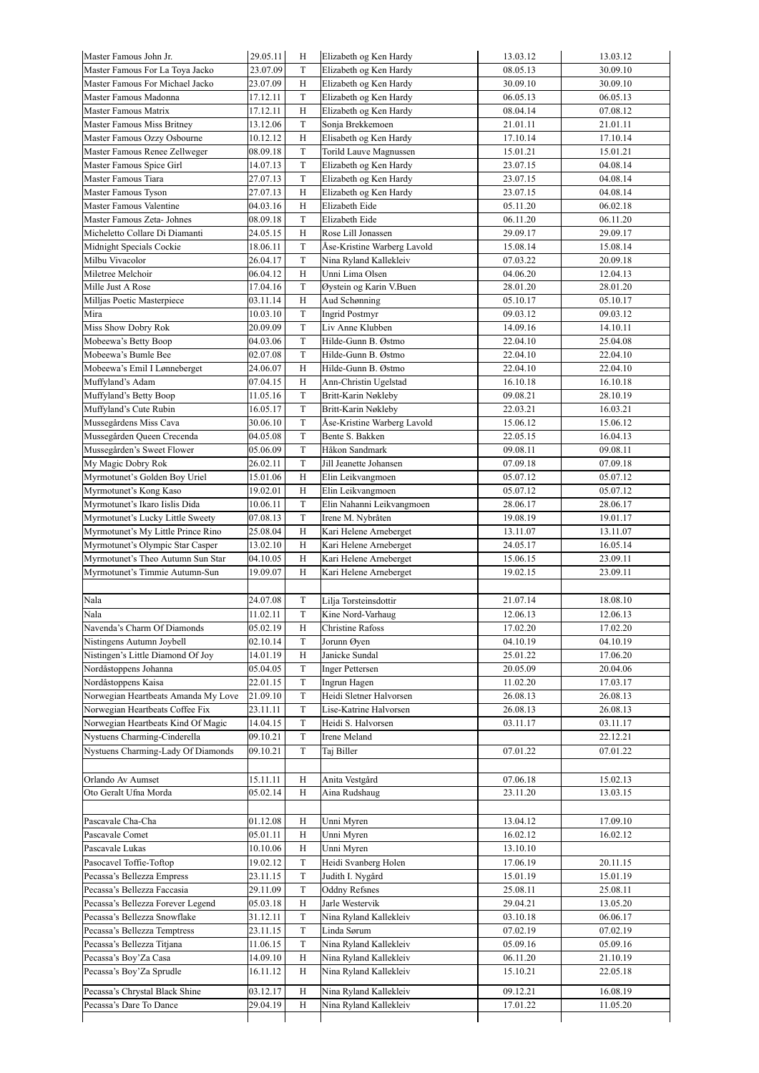| Master Famous John Jr.                                    | 29.05.11             | Η            | Elizabeth og Ken Hardy                           | 13.03.12             | 13.03.12             |
|-----------------------------------------------------------|----------------------|--------------|--------------------------------------------------|----------------------|----------------------|
| Master Famous For La Toya Jacko                           | 23.07.09             | T            | Elizabeth og Ken Hardy                           | 08.05.13             | 30.09.10             |
| Master Famous For Michael Jacko                           | 23.07.09             | Н            | Elizabeth og Ken Hardy                           | 30.09.10             | 30.09.10             |
| Master Famous Madonna                                     | 17.12.11             | T            | Elizabeth og Ken Hardy                           | 06.05.13             | 06.05.13             |
| Master Famous Matrix                                      | 17.12.11             | H            | Elizabeth og Ken Hardy                           | 08.04.14             | 07.08.12             |
| Master Famous Miss Britney                                | 13.12.06             | T            | Sonja Brekkemoen                                 | 21.01.11             | 21.01.11             |
| Master Famous Ozzy Osbourne                               | 10.12.12             | Н            | Elisabeth og Ken Hardy                           | 17.10.14             | 17.10.14             |
| Master Famous Renee Zellweger                             | 08.09.18             | $\mathbf T$  | Torild Lauve Magnussen                           | 15.01.21             | 15.01.21             |
| Master Famous Spice Girl                                  | 14.07.13             | T            | Elizabeth og Ken Hardy                           | 23.07.15             | 04.08.14             |
| Master Famous Tiara                                       | 27.07.13             | T            | Elizabeth og Ken Hardy                           | 23.07.15             | 04.08.14             |
| Master Famous Tyson                                       | 27.07.13             | H            | Elizabeth og Ken Hardy                           | 23.07.15             | 04.08.14             |
| Master Famous Valentine                                   | 04.03.16             | Н            | Elizabeth Eide                                   | 05.11.20             | 06.02.18             |
| Master Famous Zeta- Johnes                                | 08.09.18             | T            | Elizabeth Eide                                   | 06.11.20             | 06.11.20             |
| Micheletto Collare Di Diamanti                            | 24.05.15             | H            | Rose Lill Jonassen                               | 29.09.17             | 29.09.17             |
| Midnight Specials Cockie                                  | 18.06.11             | T            | Åse-Kristine Warberg Lavold                      | 15.08.14             | 15.08.14             |
| Milbu Vivacolor                                           | 26.04.17             | T            | Nina Ryland Kallekleiv                           | 07.03.22             | 20.09.18             |
| Miletree Melchoir                                         | 06.04.12             | Н            | Unni Lima Olsen                                  | 04.06.20             | 12.04.13             |
| Mille Just A Rose                                         | 17.04.16             | $\mathcal T$ | Øystein og Karin V.Buen                          | 28.01.20             | 28.01.20             |
| Milljas Poetic Masterpiece                                | 03.11.14             | H            | Aud Schønning                                    | 05.10.17             | 05.10.17             |
| Mira                                                      | 10.03.10             | T            | <b>Ingrid Postmyr</b>                            | 09.03.12             | 09.03.12             |
| Miss Show Dobry Rok                                       | 20.09.09             | T            | Liv Anne Klubben                                 | 14.09.16             | 14.10.11             |
| Mobeewa's Betty Boop                                      | 04.03.06             | T            | Hilde-Gunn B. Østmo                              | 22.04.10             | 25.04.08             |
| Mobeewa's Bumle Bee                                       | 02.07.08             | T            | Hilde-Gunn B. Østmo                              | 22.04.10             | 22.04.10             |
| Mobeewa's Emil I Lønneberget                              | 24.06.07             | H            | Hilde-Gunn B. Østmo                              | 22.04.10             | 22.04.10             |
| Muffyland's Adam                                          | 07.04.15             | Н            | Ann-Christin Ugelstad                            | 16.10.18             | 16.10.18             |
| Muffyland's Betty Boop                                    | 11.05.16             | $\mathcal T$ | Britt-Karin Nøkleby                              | 09.08.21             | 28.10.19             |
| Muffyland's Cute Rubin                                    | 16.05.17             | T            | Britt-Karin Nøkleby                              | 22.03.21             | 16.03.21             |
| Mussegårdens Miss Cava                                    | 30.06.10             | T            | Åse-Kristine Warberg Lavold                      | 15.06.12             | 15.06.12             |
| Mussegården Queen Crecenda                                | 04.05.08             | T            | Bente S. Bakken                                  |                      |                      |
|                                                           |                      | T            | Håkon Sandmark                                   | 22.05.15<br>09.08.11 | 16.04.13<br>09.08.11 |
| Mussegården's Sweet Flower                                | 05.06.09             | T            |                                                  |                      |                      |
| My Magic Dobry Rok                                        | 26.02.11             |              | Jill Jeanette Johansen                           | 07.09.18             | 07.09.18             |
| Myrmotunet's Golden Boy Uriel                             | 15.01.06             | Н            | Elin Leikvangmoen                                | 05.07.12             | 05.07.12             |
| Myrmotunet's Kong Kaso                                    | 19.02.01             | H            | Elin Leikvangmoen                                | 05.07.12             | 05.07.12             |
| Myrmotunet's Ikaro Iislis Dida                            | 10.06.11             | T            | Elin Nahanni Leikvangmoen                        | 28.06.17             | 28.06.17             |
| Myrmotunet's Lucky Little Sweety                          | 07.08.13             | $\mathcal T$ | Irene M. Nybråten                                | 19.08.19             | 19.01.17             |
| Myrmotunet's My Little Prince Rino                        | 25.08.04             | $_{\rm H}$   | Kari Helene Arneberget                           | 13.11.07             | 13.11.07             |
| Myrmotunet's Olympic Star Casper                          | 13.02.10             | H            | Kari Helene Arneberget                           | 24.05.17             | 16.05.14             |
| Myrmotunet's Theo Autumn Sun Star                         | 04.10.05             | Н            | Kari Helene Arneberget                           | 15.06.15             | 23.09.11             |
| Myrmotunet's Timmie Autumn-Sun                            | 19.09.07             | H            | Kari Helene Arneberget                           | 19.02.15             | 23.09.11             |
|                                                           |                      |              |                                                  |                      |                      |
| Nala                                                      | 24.07.08             | T            | Lilja Torsteinsdottir                            | 21.07.14             | 18.08.10             |
| Nala                                                      | 11.02.11             | T            | Kine Nord-Varhaug                                | 12.06.13             | 12.06.13             |
| Navenda's Charm Of Diamonds                               | 05.02.19             | Η            | <b>Christine Rafoss</b>                          | 17.02.20             | 17.02.20             |
| Nistingens Autumn Joybell                                 | 02.10.14             | T            | Jorunn Øyen                                      | 04.10.19             | 04.10.19             |
| Nistingen's Little Diamond Of Joy                         | 14.01.19             | Η            | Janicke Sundal                                   | 25.01.22             | 17.06.20             |
| Nordåstoppens Johanna                                     | 05.04.05             | T            | <b>Inger Pettersen</b>                           | 20.05.09             | 20.04.06             |
| Nordåstoppens Kaisa                                       | 22.01.15             | $\mathcal T$ | Ingrun Hagen                                     | 11.02.20             | 17.03.17             |
| Norwegian Heartbeats Amanda My Love                       | 21.09.10             | T            | Heidi Sletner Halvorsen                          | 26.08.13             | 26.08.13             |
| Norwegian Heartbeats Coffee Fix                           | 23.11.11             | T            | Lise-Katrine Halvorsen                           | 26.08.13             | 26.08.13             |
| Norwegian Heartbeats Kind Of Magic                        | 14.04.15             | T            | Heidi S. Halvorsen                               | 03.11.17             | 03.11.17             |
| Nystuens Charming-Cinderella                              | 09.10.21             | T            | Irene Meland                                     |                      | 22.12.21             |
| Nystuens Charming-Lady Of Diamonds                        | 09.10.21             | T            | Taj Biller                                       | 07.01.22             | 07.01.22             |
|                                                           |                      |              |                                                  |                      |                      |
| Orlando Av Aumset                                         | 15.11.11             | Η            | Anita Vestgård                                   | 07.06.18             | 15.02.13             |
| Oto Geralt Ufna Morda                                     | 05.02.14             | Н            | Aina Rudshaug                                    | 23.11.20             | 13.03.15             |
|                                                           |                      |              |                                                  |                      |                      |
| Pascavale Cha-Cha                                         | 01.12.08             | Η            | Unni Myren                                       | 13.04.12             | 17.09.10             |
| Pascavale Comet                                           | 05.01.11             | Η            | Unni Myren                                       | 16.02.12             | 16.02.12             |
| Pascavale Lukas                                           | 10.10.06             | Η            | Unni Myren                                       | 13.10.10             |                      |
| Pasocavel Toffie-Toftop                                   | 19.02.12             | T            | Heidi Svanberg Holen                             | 17.06.19             |                      |
|                                                           |                      |              |                                                  |                      | 20.11.15             |
| Pecassa's Bellezza Empress                                | 23.11.15             | T            | Judith I. Nygård                                 | 15.01.19             | 15.01.19             |
| Pecassa's Bellezza Faccasia                               | 29.11.09             | T            | <b>Oddny Refsnes</b>                             | 25.08.11             | 25.08.11             |
| Pecassa's Bellezza Forever Legend                         | 05.03.18             | Η            | Jarle Westervik                                  | 29.04.21<br>03.10.18 | 13.05.20             |
| Pecassa's Bellezza Snowflake                              |                      |              |                                                  |                      | 06.06.17             |
|                                                           | 31.12.11             | T            | Nina Ryland Kallekleiv                           |                      |                      |
| Pecassa's Bellezza Temptress                              | 23.11.15             | T            | Linda Sørum                                      | 07.02.19             | 07.02.19             |
| Pecassa's Bellezza Titjana                                | 11.06.15             | T            | Nina Ryland Kallekleiv                           | 05.09.16             | 05.09.16             |
| Pecassa's Boy'Za Casa                                     | 14.09.10             | $\rm H$      | Nina Ryland Kallekleiv                           | 06.11.20             | 21.10.19             |
| Pecassa's Boy'Za Sprudle                                  | 16.11.12             | Η            | Nina Ryland Kallekleiv                           | 15.10.21             | 22.05.18             |
|                                                           |                      |              |                                                  |                      |                      |
| Pecassa's Chrystal Black Shine<br>Pecassa's Dare To Dance | 03.12.17<br>29.04.19 | Η<br>Н       | Nina Ryland Kallekleiv<br>Nina Ryland Kallekleiv | 09.12.21<br>17.01.22 | 16.08.19<br>11.05.20 |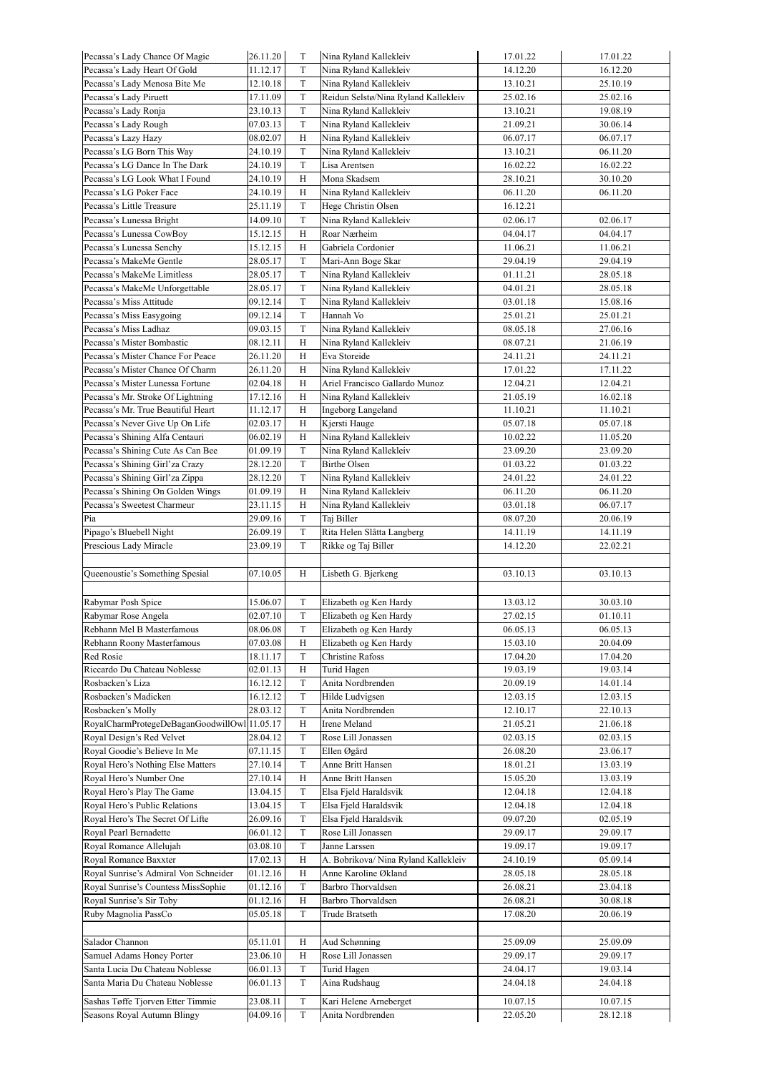| Pecassa's Lady Chance Of Magic                                   | 26.11.20             | T                            | Nina Ryland Kallekleiv                                       | 17.01.22             | 17.01.22             |
|------------------------------------------------------------------|----------------------|------------------------------|--------------------------------------------------------------|----------------------|----------------------|
| Pecassa's Lady Heart Of Gold                                     | 11.12.17             | T                            | Nina Ryland Kallekleiv                                       | 14.12.20             | 16.12.20             |
| Pecassa's Lady Menosa Bite Me                                    | 12.10.18             | T                            | Nina Ryland Kallekleiv                                       | 13.10.21             | 25.10.19             |
| Pecassa's Lady Piruett                                           | 17.11.09             | T                            | Reidun Selstø/Nina Ryland Kallekleiv                         | 25.02.16             | 25.02.16             |
| Pecassa's Lady Ronja                                             | 23.10.13             | $\mathcal T$                 | Nina Ryland Kallekleiv                                       | 13.10.21             | 19.08.19             |
| Pecassa's Lady Rough                                             | 07.03.13             | $\mathbf T$                  | Nina Ryland Kallekleiv                                       | 21.09.21             | 30.06.14             |
| Pecassa's Lazy Hazy                                              | 08.02.07             | Н                            | Nina Ryland Kallekleiv                                       | 06.07.17             | 06.07.17             |
| Pecassa's LG Born This Way                                       | 24.10.19             | T                            | Nina Ryland Kallekleiv                                       | 13.10.21             | 06.11.20             |
| Pecassa's LG Dance In The Dark                                   | 24.10.19             | T                            | Lisa Arentsen                                                | 16.02.22             | 16.02.22             |
| Pecassa's LG Look What I Found                                   | 24.10.19             | Н                            | Mona Skadsem                                                 | 28.10.21             | 30.10.20             |
| Pecassa's LG Poker Face                                          | 24.10.19             | H                            | Nina Ryland Kallekleiv                                       | 06.11.20             | 06.11.20             |
| Pecassa's Little Treasure                                        | 25.11.19             | T                            | Hege Christin Olsen                                          | 16.12.21             |                      |
| Pecassa's Lunessa Bright                                         | 14.09.10             | $\mathbf T$                  | Nina Ryland Kallekleiv                                       | 02.06.17             | 02.06.17             |
| Pecassa's Lunessa CowBoy                                         | 15.12.15             | H                            | Roar Nærheim                                                 | 04.04.17             | 04.04.17             |
| Pecassa's Lunessa Senchy                                         | 15.12.15             | Η                            | Gabriela Cordonier                                           | 11.06.21             | 11.06.21             |
| Pecassa's MakeMe Gentle                                          | 28.05.17             | T                            | Mari-Ann Boge Skar                                           | 29.04.19             | 29.04.19             |
| Pecassa's MakeMe Limitless                                       | 28.05.17             | T                            | Nina Ryland Kallekleiv                                       | 01.11.21             | 28.05.18             |
| Pecassa's MakeMe Unforgettable                                   | 28.05.17             | $\mathbf T$                  | Nina Ryland Kallekleiv                                       | 04.01.21             | 28.05.18             |
| Pecassa's Miss Attitude                                          | 09.12.14             | $\mathbf T$                  | Nina Ryland Kallekleiv                                       | 03.01.18             | 15.08.16             |
| Pecassa's Miss Easygoing                                         | 09.12.14             | $\mathbf T$                  | Hannah Vo                                                    | 25.01.21             | 25.01.21             |
| Pecassa's Miss Ladhaz                                            | 09.03.15             | $\mathbf T$                  | Nina Ryland Kallekleiv                                       | 08.05.18             | 27.06.16             |
| Pecassa's Mister Bombastic                                       | 08.12.11             | H                            | Nina Ryland Kallekleiv                                       | 08.07.21             | 21.06.19             |
| Pecassa's Mister Chance For Peace                                | 26.11.20             | H                            | Eva Storeide                                                 | 24.11.21             | 24.11.21             |
| Pecassa's Mister Chance Of Charm                                 | 26.11.20             | Н                            | Nina Ryland Kallekleiv                                       | 17.01.22             | 17.11.22             |
| Pecassa's Mister Lunessa Fortune                                 | 02.04.18             | H                            | Ariel Francisco Gallardo Munoz                               | 12.04.21             | 12.04.21             |
| Pecassa's Mr. Stroke Of Lightning                                | 17.12.16             | H                            | Nina Ryland Kallekleiv                                       | 21.05.19             | 16.02.18             |
| Pecassa's Mr. True Beautiful Heart                               | 11.12.17             |                              | Ingeborg Langeland                                           |                      | 11.10.21             |
|                                                                  |                      | Η                            |                                                              | 11.10.21             |                      |
| Pecassa's Never Give Up On Life                                  | 02.03.17             | H                            | Kjersti Hauge                                                | 05.07.18             | 05.07.18             |
| Pecassa's Shining Alfa Centauri                                  | 06.02.19             | H                            | Nina Ryland Kallekleiv                                       | 10.02.22             | 11.05.20             |
| Pecassa's Shining Cute As Can Bee                                | 01.09.19             | T                            | Nina Ryland Kallekleiv                                       | 23.09.20             | 23.09.20             |
| Pecassa's Shining Girl'za Crazy                                  | 28.12.20             | $\mathbf T$                  | <b>Birthe Olsen</b>                                          | 01.03.22             | 01.03.22             |
| Pecassa's Shining Girl'za Zippa                                  | 28.12.20             | $\mathbf T$                  | Nina Ryland Kallekleiv                                       | 24.01.22             | 24.01.22             |
| Pecassa's Shining On Golden Wings                                | 01.09.19             | H                            | Nina Ryland Kallekleiv                                       | 06.11.20             | 06.11.20             |
| Pecassa's Sweetest Charmeur                                      | 23.11.15             | H                            | Nina Ryland Kallekleiv                                       | 03.01.18             | 06.07.17             |
| Pia                                                              | 29.09.16             | T                            | Taj Biller                                                   | 08.07.20             | 20.06.19             |
| Pipago's Bluebell Night                                          | 26.09.19             | $\mathbf T$                  | Rita Helen Slåtta Langberg                                   | 14.11.19             | 14.11.19             |
|                                                                  |                      |                              |                                                              |                      |                      |
| Prescious Lady Miracle                                           | 23.09.19             | T                            | Rikke og Taj Biller                                          | 14.12.20             | 22.02.21             |
|                                                                  |                      |                              |                                                              |                      |                      |
| Queenoustie's Something Spesial                                  | 07.10.05             | H                            | Lisbeth G. Bjerkeng                                          | 03.10.13             | 03.10.13             |
|                                                                  |                      |                              |                                                              |                      |                      |
| Rabymar Posh Spice                                               | 15.06.07             | T                            | Elizabeth og Ken Hardy                                       | 13.03.12             | 30.03.10             |
| Rabymar Rose Angela                                              | 02.07.10             | $\mathbf T$                  | Elizabeth og Ken Hardy                                       | 27.02.15             | 01.10.11             |
| Rebhann Mel B Masterfamous                                       | 08.06.08             | T                            | Elizabeth og Ken Hardy                                       | 06.05.13             | 06.05.13             |
| Rebhann Roony Masterfamous                                       | 07.03.08             | Η                            | Elizabeth og Ken Hardy                                       | 15.03.10             | 20.04.09             |
| Red Rosie                                                        | 18.11.17             | T                            | <b>Christine Rafoss</b>                                      | 17.04.20             | 17.04.20             |
| Riccardo Du Chateau Noblesse                                     | 02.01.13             | H                            | Turid Hagen                                                  | 19.03.19             | 19.03.14             |
| Rosbacken's Liza                                                 | 16.12.12             | $\mathbf T$                  | Anita Nordbrenden                                            | 20.09.19             | 14.01.14             |
| Rosbacken's Madicken                                             | 16.12.12             | $\mathbf T$                  | Hilde Ludvigsen                                              | 12.03.15             | 12.03.15             |
| Rosbacken's Molly                                                | 28.03.12             | T                            | Anita Nordbrenden                                            | 12.10.17             | 22.10.13             |
| RoyalCharmProtegeDeBaganGoodwillOwl                              | 11.05.17             | Η                            | Irene Meland                                                 | 21.05.21             | 21.06.18             |
| Royal Design's Red Velvet                                        | 28.04.12             | $\mathbf T$                  | Rose Lill Jonassen                                           | 02.03.15             | 02.03.15             |
| Royal Goodie's Believe In Me                                     | 07.11.15             | $\mathbf T$                  | Ellen Øgård                                                  | 26.08.20             | 23.06.17             |
| Royal Hero's Nothing Else Matters                                | 27.10.14             | $\rm T$                      | Anne Britt Hansen                                            | 18.01.21             | 13.03.19             |
| Royal Hero's Number One                                          | 27.10.14             | H                            | Anne Britt Hansen                                            | 15.05.20             | 13.03.19             |
| Royal Hero's Play The Game                                       | 13.04.15             | T                            | Elsa Fjeld Haraldsvik                                        | 12.04.18             | 12.04.18             |
| Royal Hero's Public Relations                                    | 13.04.15             | $\mathbf T$                  | Elsa Fjeld Haraldsvik                                        | 12.04.18             | 12.04.18             |
|                                                                  | 26.09.16             | $\mathbf T$                  | Elsa Fjeld Haraldsvik                                        | 09.07.20             | 02.05.19             |
| Royal Hero's The Secret Of Lifte<br>Royal Pearl Bernadette       | 06.01.12             | T                            | Rose Lill Jonassen                                           | 29.09.17             | 29.09.17             |
| Royal Romance Allelujah                                          | 03.08.10             | $\mathbf T$                  | Janne Larssen                                                | 19.09.17             | 19.09.17             |
| Royal Romance Baxxter                                            | 17.02.13             | H                            |                                                              | 24.10.19             | 05.09.14             |
| Royal Sunrise's Admiral Von Schneider                            | 01.12.16             | $\mathbf H$                  | A. Bobrikova/ Nina Ryland Kallekleiv<br>Anne Karoline Økland | 28.05.18             | 28.05.18             |
|                                                                  |                      |                              |                                                              |                      |                      |
| Royal Sunrise's Countess MissSophie                              | 01.12.16             | $\rm T$                      | <b>Barbro Thorvaldsen</b>                                    | 26.08.21             | 23.04.18             |
| Royal Sunrise's Sir Toby                                         | 01.12.16             | Η<br>T                       | <b>Barbro Thorvaldsen</b>                                    | 26.08.21             | 30.08.18             |
| Ruby Magnolia PassCo                                             | 05.05.18             |                              | Trude Bratseth                                               | 17.08.20             | 20.06.19             |
|                                                                  |                      |                              |                                                              |                      |                      |
| Salador Channon                                                  | 05.11.01             | H                            | Aud Schønning                                                | 25.09.09             | 25.09.09             |
| Samuel Adams Honey Porter                                        | 23.06.10             | H                            | Rose Lill Jonassen                                           | 29.09.17             | 29.09.17             |
| Santa Lucia Du Chateau Noblesse                                  | 06.01.13             | T                            | Turid Hagen                                                  | 24.04.17             | 19.03.14             |
| Santa Maria Du Chateau Noblesse                                  | 06.01.13             | $\mathbf T$                  | Aina Rudshaug                                                | 24.04.18             | 24.04.18             |
| Sashas Tøffe Tjorven Etter Timmie<br>Seasons Royal Autumn Blingy | 23.08.11<br>04.09.16 | $\mathcal T$<br>$\mathcal T$ | Kari Helene Arneberget                                       | 10.07.15<br>22.05.20 | 10.07.15<br>28.12.18 |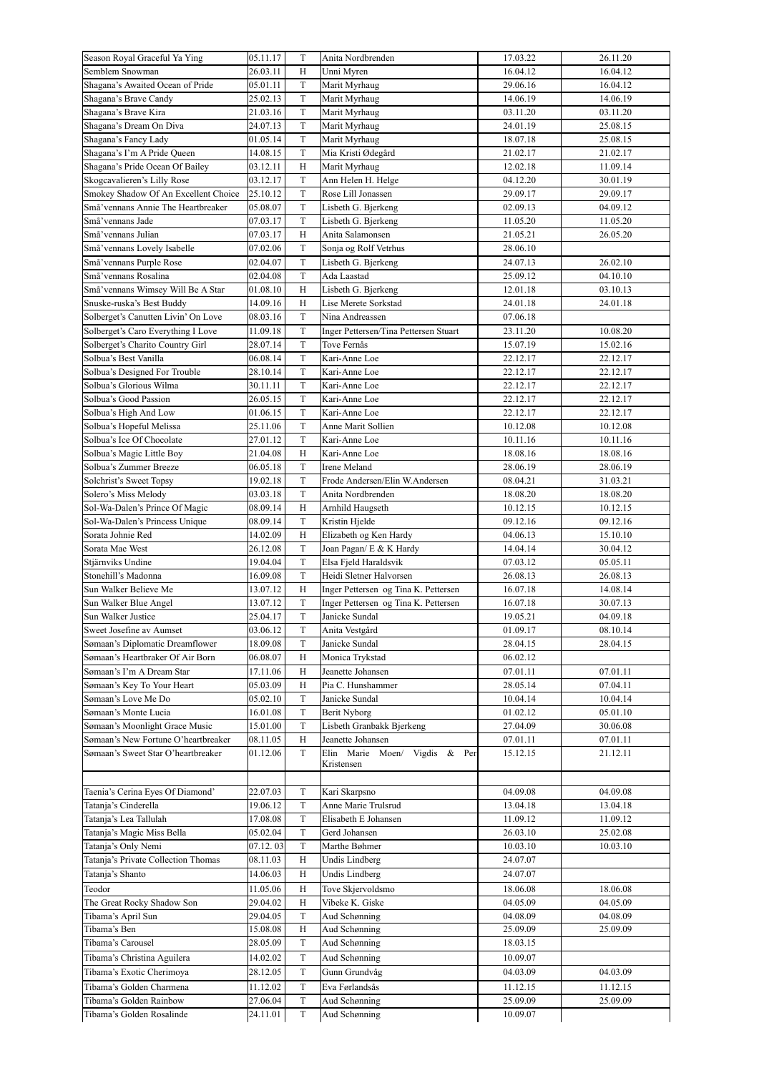| Season Royal Graceful Ya Ying                        | 05.11.17             | T            | Anita Nordbrenden                     | 17.03.22             | 26.11.20 |
|------------------------------------------------------|----------------------|--------------|---------------------------------------|----------------------|----------|
| Semblem Snowman                                      | 26.03.11             | H            | Unni Myren                            | 16.04.12             | 16.04.12 |
| Shagana's Awaited Ocean of Pride                     | 05.01.11             | $\mathbf T$  | Marit Myrhaug                         | 29.06.16             | 16.04.12 |
|                                                      |                      |              |                                       |                      |          |
| Shagana's Brave Candy                                | 25.02.13             | $\mathcal T$ | Marit Myrhaug                         | 14.06.19             | 14.06.19 |
| Shagana's Brave Kira                                 | 21.03.16             | T            | Marit Myrhaug                         | 03.11.20             | 03.11.20 |
| Shagana's Dream On Diva                              | 24.07.13             | $\mathbf T$  | Marit Myrhaug                         | 24.01.19             | 25.08.15 |
| Shagana's Fancy Lady                                 | 01.05.14             | T            | Marit Myrhaug                         | 18.07.18             | 25.08.15 |
| Shagana's I'm A Pride Queen                          | 14.08.15             | $\mathbf T$  | Mia Kristi Ødegård                    | 21.02.17             | 21.02.17 |
| Shagana's Pride Ocean Of Bailey                      | 03.12.11             | H            | Marit Myrhaug                         | 12.02.18             | 11.09.14 |
| Skogcavalieren's Lilly Rose                          | 03.12.17             | T            | Ann Helen H. Helge                    | 04.12.20             | 30.01.19 |
|                                                      |                      |              |                                       |                      |          |
| Smokey Shadow Of An Excellent Choice                 | 25.10.12             | $\mathbf T$  | Rose Lill Jonassen                    | 29.09.17             | 29.09.17 |
| Små'vennans Annie The Heartbreaker                   | 05.08.07             | $\mathbf T$  | Lisbeth G. Bjerkeng                   | 02.09.13             | 04.09.12 |
| Små'vennans Jade                                     | 07.03.17             | $\mathcal T$ | Lisbeth G. Bjerkeng                   | 11.05.20             | 11.05.20 |
| Små'vennans Julian                                   | 07.03.17             | H            | Anita Salamonsen                      | 21.05.21             | 26.05.20 |
| Små'vennans Lovely Isabelle                          | 07.02.06             | $\mathbf T$  | Sonja og Rolf Vetrhus                 | 28.06.10             |          |
| Små'vennans Purple Rose                              | 02.04.07             | $\mathbf T$  | Lisbeth G. Bjerkeng                   | 24.07.13             | 26.02.10 |
|                                                      |                      |              |                                       |                      |          |
| Små'vennans Rosalina                                 | 02.04.08             | $\mathbf T$  | Ada Laastad                           | 25.09.12             | 04.10.10 |
| Små'vennans Wimsey Will Be A Star                    | 01.08.10             | $_{\rm H}$   | Lisbeth G. Bjerkeng                   | 12.01.18             | 03.10.13 |
| Snuske-ruska's Best Buddy                            | 14.09.16             | H            | Lise Merete Sorkstad                  | 24.01.18             | 24.01.18 |
| Solberget's Canutten Livin' On Love                  | 08.03.16             | $\mathbf T$  | Nina Andreassen                       | 07.06.18             |          |
| Solberget's Caro Everything I Love                   | 11.09.18             | $\mathbf T$  | Inger Pettersen/Tina Pettersen Stuart | 23.11.20             | 10.08.20 |
| Solberget's Charito Country Girl                     | 28.07.14             | $\mathbf T$  | Tove Fernås                           | 15.07.19             | 15.02.16 |
| Solbua's Best Vanilla                                |                      | $\rm T$      |                                       |                      |          |
|                                                      | 06.08.14             |              | Kari-Anne Loe                         | 22.12.17             | 22.12.17 |
| Solbua's Designed For Trouble                        | 28.10.14             | $\mathbf T$  | Kari-Anne Loe                         | 22.12.17             | 22.12.17 |
| Solbua's Glorious Wilma                              | 30.11.11             | $\mathbf T$  | Kari-Anne Loe                         | 22.12.17             | 22.12.17 |
| Solbua's Good Passion                                | 26.05.15             | $\mathbf T$  | Kari-Anne Loe                         | 22.12.17             | 22.12.17 |
| Solbua's High And Low                                | 01.06.15             | $\mathbf T$  | Kari-Anne Loe                         | 22.12.17             | 22.12.17 |
| Solbua's Hopeful Melissa                             | 25.11.06             | $\mathbf T$  | Anne Marit Sollien                    | 10.12.08             | 10.12.08 |
| Solbua's Ice Of Chocolate                            | 27.01.12             | $\mathbf T$  | Kari-Anne Loe                         | 10.11.16             | 10.11.16 |
|                                                      |                      |              |                                       |                      |          |
| Solbua's Magic Little Boy                            | 21.04.08             | H            | Kari-Anne Loe                         | 18.08.16             | 18.08.16 |
| Solbua's Zummer Breeze                               | 06.05.18             | $\mathbf T$  | Irene Meland                          | 28.06.19             | 28.06.19 |
| Solchrist's Sweet Topsy                              | 19.02.18             | $\mathbf T$  | Frode Andersen/Elin W.Andersen        | 08.04.21             | 31.03.21 |
| Solero's Miss Melody                                 | 03.03.18             | $\mathbf T$  | Anita Nordbrenden                     | 18.08.20             | 18.08.20 |
| Sol-Wa-Dalen's Prince Of Magic                       | 08.09.14             | $_{\rm H}$   | Arnhild Haugseth                      | 10.12.15             | 10.12.15 |
| Sol-Wa-Dalen's Princess Unique                       | 08.09.14             | T            | Kristin Hjelde                        | 09.12.16             | 09.12.16 |
| Sorata Johnie Red                                    | 14.02.09             | H            | Elizabeth og Ken Hardy                | 04.06.13             | 15.10.10 |
|                                                      |                      |              |                                       |                      |          |
| Sorata Mae West                                      | 26.12.08             | T            | Joan Pagan/ E & K Hardy               | 14.04.14             | 30.04.12 |
| Stjärnviks Undine                                    | 19.04.04             | $\mathbf T$  | Elsa Fjeld Haraldsvik                 | 07.03.12             | 05.05.11 |
| Stonehill's Madonna                                  | 16.09.08             | $\mathbf T$  | Heidi Sletner Halvorsen               | 26.08.13             | 26.08.13 |
| Sun Walker Believe Me                                | 13.07.12             | H            | Inger Pettersen og Tina K. Pettersen  | 16.07.18             | 14.08.14 |
| Sun Walker Blue Angel                                | 13.07.12             | $\mathbf T$  | Inger Pettersen og Tina K. Pettersen  | 16.07.18             | 30.07.13 |
| Sun Walker Justice                                   | 25.04.17             | $\mathcal T$ | Janicke Sundal                        | 19.05.21             | 04.09.18 |
| Sweet Josefine av Aumset                             | 03.06.12             | T            | Anita Vestgård                        | 01.09.17             | 08.10.14 |
| Sømaan's Diplomatic Dreamflower                      | 18.09.08             | $\mathbf T$  | Janicke Sundal                        |                      |          |
|                                                      |                      |              |                                       | 28.04.15             | 28.04.15 |
| Sømaan's Heartbraker Of Air Born                     | 06.08.07             | H            | Monica Trykstad                       | 06.02.12             |          |
| Sømaan's I'm A Dream Star                            | 17.11.06             | Н            | Jeanette Johansen                     | 07.01.11             | 07.01.11 |
| Sømaan's Key To Your Heart                           | 05.03.09             | H            | Pia C. Hunshammer                     | 28.05.14             | 07.04.11 |
| Sømaan's Love Me Do                                  | 05.02.10             | $\mathbf T$  | Janicke Sundal                        | 10.04.14             | 10.04.14 |
| Sømaan's Monte Lucia                                 | 16.01.08             | $\mathbf T$  | Berit Nyborg                          | 01.02.12             | 05.01.10 |
| Sømaan's Moonlight Grace Music                       | 15.01.00             | T            | Lisbeth Granbakk Bjerkeng             | 27.04.09             | 30.06.08 |
| Sømaan's New Fortune O'heartbreaker                  |                      |              |                                       |                      |          |
|                                                      | 08.11.05             | Η            | Jeanette Johansen                     | 07.01.11             | 07.01.11 |
| Sømaan's Sweet Star O'heartbreaker                   | 01.12.06             | T            | Elin Marie Moen/<br>Vigdis & Per      | 15.12.15             | 21.12.11 |
|                                                      |                      |              | Kristensen                            |                      |          |
|                                                      |                      |              |                                       |                      |          |
| Taenia's Cerina Eyes Of Diamond'                     | 22.07.03             | T            | Kari Skarpsno                         | 04.09.08             | 04.09.08 |
| Tatanja's Cinderella                                 | 19.06.12             | $\mathbf T$  | Anne Marie Trulsrud                   | 13.04.18             | 13.04.18 |
| Tatanja's Lea Tallulah                               | 17.08.08             | $\mathbf T$  | Elisabeth E Johansen                  | 11.09.12             | 11.09.12 |
| Tatanja's Magic Miss Bella                           | 05.02.04             | T            | Gerd Johansen                         | 26.03.10             | 25.02.08 |
|                                                      |                      | T            | Marthe Bøhmer                         |                      |          |
| Tatanja's Only Nemi                                  | 07.12.03             |              |                                       | 10.03.10             | 10.03.10 |
| Tatanja's Private Collection Thomas                  | 08.11.03             | H            | Undis Lindberg                        | 24.07.07             |          |
| Tatanja's Shanto                                     | 14.06.03             | $_{\rm H}$   | Undis Lindberg                        | 24.07.07             |          |
| Teodor                                               | 11.05.06             | H            | Tove Skjervoldsmo                     | 18.06.08             | 18.06.08 |
| The Great Rocky Shadow Son                           | 29.04.02             | $\, {\rm H}$ | Vibeke K. Giske                       | 04.05.09             | 04.05.09 |
| Tibama's April Sun                                   | 29.04.05             | T            | Aud Schønning                         | 04.08.09             | 04.08.09 |
| Tibama's Ben                                         | 15.08.08             | H            |                                       | 25.09.09             | 25.09.09 |
|                                                      |                      |              | Aud Schønning                         |                      |          |
| Tibama's Carousel                                    | 28.05.09             | $\mathbf T$  | Aud Schønning                         | 18.03.15             |          |
| Tibama's Christina Aguilera                          | 14.02.02             | T            | Aud Schønning                         | 10.09.07             |          |
| Tibama's Exotic Cherimoya                            |                      |              | Gunn Grundvåg                         | 04.03.09             | 04.03.09 |
|                                                      | 28.12.05             | $\mathbf T$  |                                       |                      |          |
|                                                      |                      |              |                                       |                      |          |
| Tibama's Golden Charmena                             | 11.12.02             | $\mathcal T$ | Eva Førlandsås                        | 11.12.15             | 11.12.15 |
| Tibama's Golden Rainbow<br>Tibama's Golden Rosalinde | 27.06.04<br>24.11.01 | $\rm T$<br>T | Aud Schønning<br>Aud Schønning        | 25.09.09<br>10.09.07 | 25.09.09 |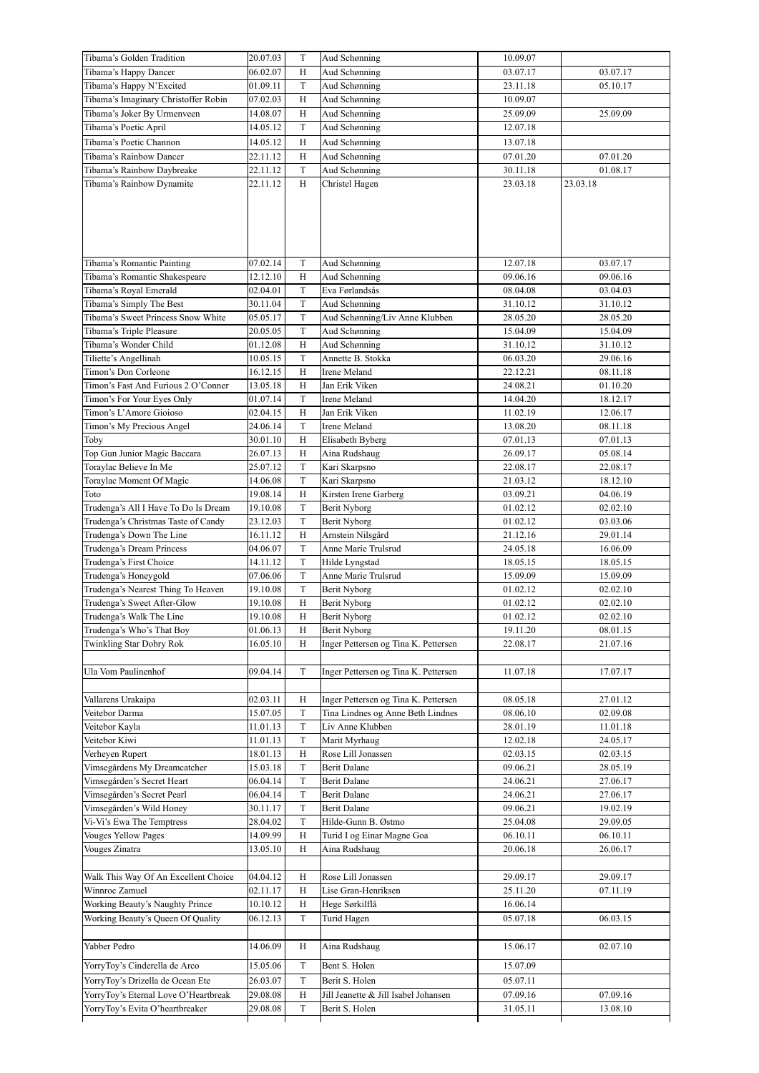| Tibama's Golden Tradition                             | 20.07.03 | T            | Aud Schønning                        | 10.09.07 |          |
|-------------------------------------------------------|----------|--------------|--------------------------------------|----------|----------|
| Tibama's Happy Dancer                                 | 06.02.07 | H            | Aud Schønning                        | 03.07.17 | 03.07.17 |
| Tibama's Happy N'Excited                              | 01.09.11 | T            | Aud Schønning                        | 23.11.18 | 05.10.17 |
| Tibama's Imaginary Christoffer Robin                  | 07.02.03 | $\mathbf H$  | Aud Schønning                        | 10.09.07 |          |
| Tibama's Joker By Urmenveen                           | 14.08.07 | $\mathbf H$  | Aud Schønning                        | 25.09.09 | 25.09.09 |
| Tibama's Poetic April                                 | 14.05.12 | T            | Aud Schønning                        | 12.07.18 |          |
| Tibama's Poetic Channon                               | 14.05.12 | Η            | Aud Schønning                        | 13.07.18 |          |
| Tibama's Rainbow Dancer                               | 22.11.12 | Η            | Aud Schønning                        | 07.01.20 | 07.01.20 |
| Tibama's Rainbow Daybreake                            | 22.11.12 | T            | Aud Schønning                        | 30.11.18 | 01.08.17 |
| Tibama's Rainbow Dynamite                             | 22.11.12 | H            | Christel Hagen                       | 23.03.18 | 23.03.18 |
|                                                       |          |              |                                      |          |          |
|                                                       |          |              |                                      |          |          |
|                                                       |          |              |                                      |          |          |
|                                                       |          |              |                                      |          |          |
|                                                       |          |              |                                      |          |          |
|                                                       |          |              |                                      |          |          |
| Tibama's Romantic Painting                            | 07.02.14 | T            | Aud Schønning                        | 12.07.18 | 03.07.17 |
| Tibama's Romantic Shakespeare                         | 12.12.10 | Η            | Aud Schønning                        | 09.06.16 | 09.06.16 |
| Tibama's Royal Emerald                                | 02.04.01 | $\mathbf T$  | Eva Førlandsås                       | 08.04.08 | 03.04.03 |
| Tibama's Simply The Best                              | 30.11.04 | T            | Aud Schønning                        | 31.10.12 | 31.10.12 |
| Tibama's Sweet Princess Snow White                    | 05.05.17 | $\mathbf T$  | Aud Schønning/Liv Anne Klubben       | 28.05.20 | 28.05.20 |
| Tibama's Triple Pleasure                              | 20.05.05 | $\mathbf T$  | Aud Schønning                        | 15.04.09 | 15.04.09 |
| Tibama's Wonder Child                                 | 01.12.08 | $\mathbf H$  | Aud Schønning                        | 31.10.12 | 31.10.12 |
| Tiliette's Angellinah                                 | 10.05.15 | $\mathbf T$  | Annette B. Stokka                    | 06.03.20 | 29.06.16 |
| Timon's Don Corleone                                  | 16.12.15 | H            | Irene Meland                         | 22.12.21 | 08.11.18 |
| Timon's Fast And Furious 2 O'Conner                   | 13.05.18 | H            | Jan Erik Viken                       | 24.08.21 | 01.10.20 |
| Timon's For Your Eyes Only                            | 01.07.14 | T            | Irene Meland                         | 14.04.20 | 18.12.17 |
| Timon's L'Amore Gioioso                               | 02.04.15 | H            | Jan Erik Viken                       | 11.02.19 | 12.06.17 |
| Timon's My Precious Angel                             | 24.06.14 | $\mathbf T$  | Irene Meland                         | 13.08.20 | 08.11.18 |
| Toby                                                  | 30.01.10 | Η            | Elisabeth Byberg                     | 07.01.13 | 07.01.13 |
| Top Gun Junior Magic Baccara                          | 26.07.13 | H            | Aina Rudshaug                        | 26.09.17 | 05.08.14 |
| Toraylac Believe In Me                                | 25.07.12 | $\mathcal T$ | Kari Skarpsno                        | 22.08.17 | 22.08.17 |
| Toraylac Moment Of Magic                              | 14.06.08 | $\mathbf T$  | Kari Skarpsno                        | 21.03.12 | 18.12.10 |
| Toto                                                  | 19.08.14 | $\mathbf H$  | Kirsten Irene Garberg                | 03.09.21 | 04.06.19 |
| Trudenga's All I Have To Do Is Dream                  | 19.10.08 | $\mathbf T$  | Berit Nyborg                         | 01.02.12 | 02.02.10 |
| Trudenga's Christmas Taste of Candy                   | 23.12.03 | T            | Berit Nyborg                         | 01.02.12 | 03.03.06 |
| Trudenga's Down The Line                              | 16.11.12 | H            | Arnstein Nilsgård                    | 21.12.16 | 29.01.14 |
| Trudenga's Dream Princess                             | 04.06.07 | $\mathcal T$ | Anne Marie Trulsrud                  | 24.05.18 | 16.06.09 |
| Trudenga's First Choice                               | 14.11.12 | $\mathcal T$ | Hilde Lyngstad                       | 18.05.15 | 18.05.15 |
| Trudenga's Honeygold                                  | 07.06.06 | $\mathcal T$ | Anne Marie Trulsrud                  | 15.09.09 | 15.09.09 |
| Trudenga's Nearest Thing To Heaven                    | 19.10.08 | $\mathcal T$ | Berit Nyborg                         | 01.02.12 | 02.02.10 |
| Trudenga's Sweet After-Glow                           | 19.10.08 | H            | <b>Berit Nyborg</b>                  | 01.02.12 | 02.02.10 |
|                                                       | 19.10.08 | H            |                                      | 01.02.12 | 02.02.10 |
| Trudenga's Walk The Line<br>Trudenga's Who's That Boy | 01.06.13 | H            | Berit Nyborg<br><b>Berit Nyborg</b>  | 19.11.20 | 08.01.15 |
|                                                       |          |              | Inger Pettersen og Tina K. Pettersen |          |          |
| <b>Twinkling Star Dobry Rok</b>                       | 16.05.10 | H            |                                      | 22.08.17 | 21.07.16 |
|                                                       |          |              |                                      |          |          |
| Ula Vom Paulinenhof                                   | 09.04.14 | $\mathcal T$ | Inger Pettersen og Tina K. Pettersen | 11.07.18 | 17.07.17 |
|                                                       |          |              |                                      |          |          |
| Vallarens Urakaipa                                    | 02.03.11 | Η            | Inger Pettersen og Tina K. Pettersen | 08.05.18 | 27.01.12 |
| Veitebor Darma                                        | 15.07.05 | $\mathcal T$ | Tina Lindnes og Anne Beth Lindnes    | 08.06.10 | 02.09.08 |
| Veitebor Kayla                                        | 11.01.13 | $\mathcal T$ | Liv Anne Klubben                     | 28.01.19 | 11.01.18 |
| Veitebor Kiwi                                         | 11.01.13 | $\mathcal T$ | Marit Myrhaug                        | 12.02.18 | 24.05.17 |
| Verheven Rupert                                       | 18.01.13 | Η            | Rose Lill Jonassen                   | 02.03.15 | 02.03.15 |
| Vimsegårdens My Dreamcatcher                          | 15.03.18 | $\mathcal T$ | <b>Berit Dalane</b>                  | 09.06.21 | 28.05.19 |
| Vimsegården's Secret Heart                            | 06.04.14 | $\mathcal T$ | <b>Berit Dalane</b>                  | 24.06.21 | 27.06.17 |
| Vimsegården's Secret Pearl                            | 06.04.14 | $\rm T$      | <b>Berit Dalane</b>                  | 24.06.21 | 27.06.17 |
| Vimsegården's Wild Honey                              | 30.11.17 | T            | <b>Berit Dalane</b>                  | 09.06.21 | 19.02.19 |
| Vi-Vi's Ewa The Temptress                             | 28.04.02 | T            | Hilde-Gunn B. Østmo                  | 25.04.08 | 29.09.05 |
| <b>Vouges Yellow Pages</b>                            | 14.09.99 | Η            | Turid I og Einar Magne Goa           | 06.10.11 | 06.10.11 |
| Vouges Zinatra                                        | 13.05.10 | H            | Aina Rudshaug                        | 20.06.18 | 26.06.17 |
|                                                       |          |              |                                      |          |          |
| Walk This Way Of An Excellent Choice                  | 04.04.12 | Η            | Rose Lill Jonassen                   | 29.09.17 | 29.09.17 |
| Winnroc Zamuel                                        | 02.11.17 | Н            | Lise Gran-Henriksen                  | 25.11.20 | 07.11.19 |
| Working Beauty's Naughty Prince                       | 10.10.12 | Н            | Hege Sørkilflå                       | 16.06.14 |          |
| Working Beauty's Queen Of Quality                     | 06.12.13 | $\mathbf T$  | Turid Hagen                          | 05.07.18 | 06.03.15 |
|                                                       |          |              |                                      |          |          |
| Yabber Pedro                                          | 14.06.09 | H            | Aina Rudshaug                        | 15.06.17 | 02.07.10 |
|                                                       |          |              |                                      |          |          |
| YorryToy's Cinderella de Arco                         | 15.05.06 | $\mathcal T$ | Bent S. Holen                        | 15.07.09 |          |
| YorryToy's Drizella de Ocean Ete                      | 26.03.07 | T            | Berit S. Holen                       | 05.07.11 |          |
| YorryToy's Eternal Love O'Heartbreak                  | 29.08.08 | $\mathbf H$  | Jill Jeanette & Jill Isabel Johansen | 07.09.16 | 07.09.16 |
| YorryToy's Evita O'heartbreaker                       | 29.08.08 | $\mathbf T$  | Berit S. Holen                       | 31.05.11 | 13.08.10 |
|                                                       |          |              |                                      |          |          |